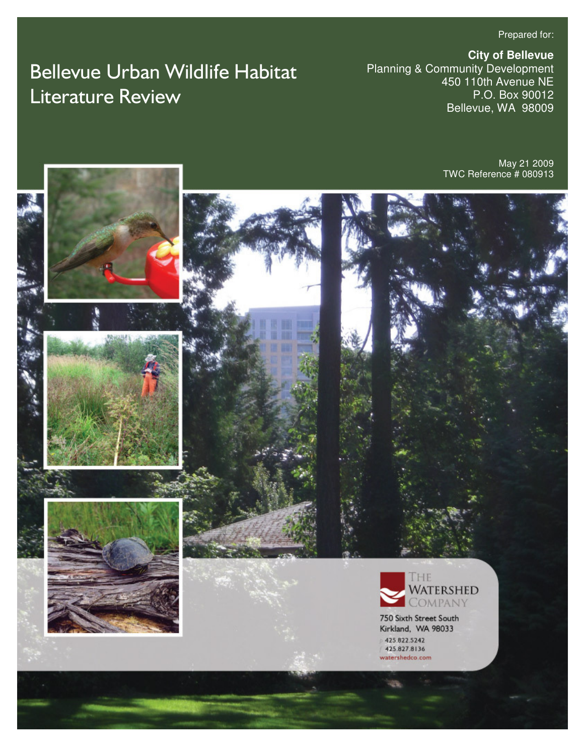Prepared for:

# Bellevue Urban Wildlife Habitat Literature Review

**City of Bellevue**  Planning & Community Development 450 110th Avenue NE P.O. Box 90012 Bellevue, WA 98009

> May 21 2009 TWC Reference # 080913

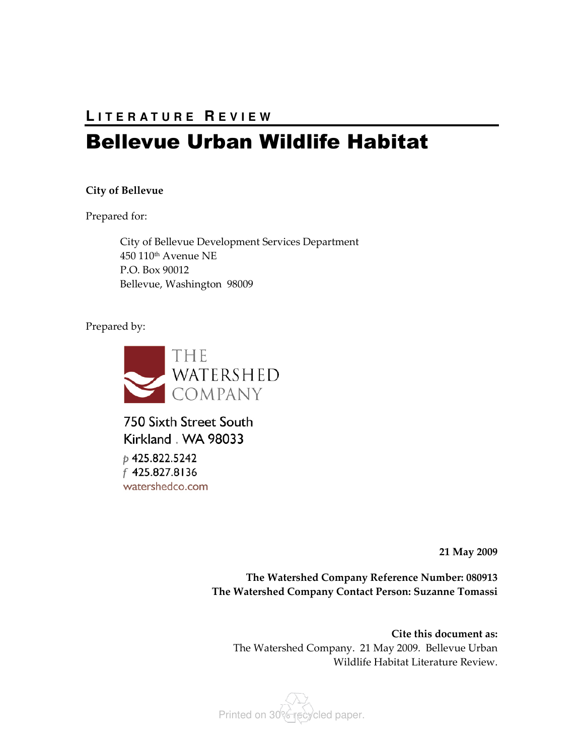# **L I T E R A T U R E R E V I E W**

# Bellevue Urban Wildlife Habitat

#### City of Bellevue

Prepared for:

City of Bellevue Development Services Department 450 110th Avenue NE P.O. Box 90012 Bellevue, Washington 98009

Prepared by:



750 Sixth Street South Kirkland . WA 98033 p 425.822.5242 f 425.827.8136 watershedco.com

21 May 2009

The Watershed Company Reference Number: 080913 The Watershed Company Contact Person: Suzanne Tomassi

Cite this document as: The Watershed Company. 21 May 2009. Bellevue Urban Wildlife Habitat Literature Review.

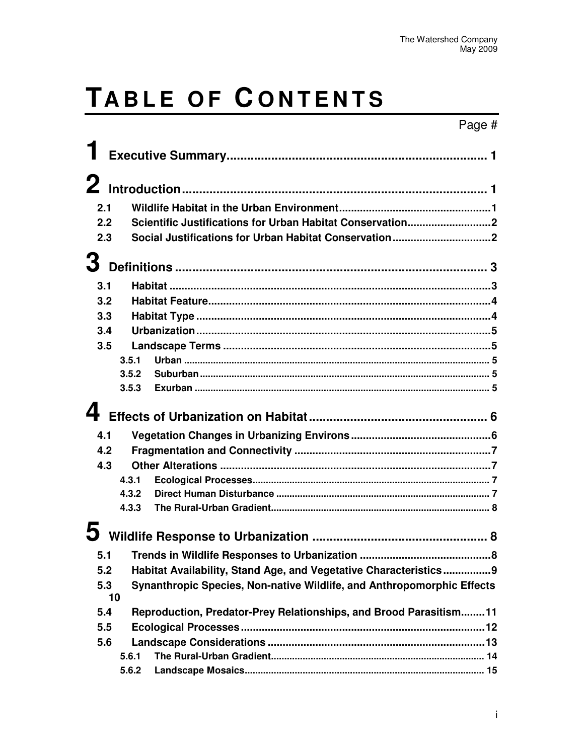# TABLE OF CONTENTS

|     |                                                                   |                                                                        | Page # |  |  |
|-----|-------------------------------------------------------------------|------------------------------------------------------------------------|--------|--|--|
|     |                                                                   |                                                                        |        |  |  |
|     |                                                                   |                                                                        |        |  |  |
|     |                                                                   |                                                                        |        |  |  |
| 2.1 |                                                                   |                                                                        |        |  |  |
| 2.2 |                                                                   |                                                                        |        |  |  |
| 2.3 |                                                                   |                                                                        |        |  |  |
|     |                                                                   |                                                                        |        |  |  |
|     |                                                                   |                                                                        |        |  |  |
| 3.1 |                                                                   |                                                                        |        |  |  |
| 3.2 |                                                                   |                                                                        |        |  |  |
| 3.3 |                                                                   |                                                                        |        |  |  |
| 3.4 |                                                                   |                                                                        |        |  |  |
| 3.5 |                                                                   |                                                                        |        |  |  |
|     | 3.5.1                                                             |                                                                        |        |  |  |
|     | 3.5.2                                                             |                                                                        |        |  |  |
|     | 3.5.3                                                             |                                                                        |        |  |  |
|     |                                                                   |                                                                        |        |  |  |
|     |                                                                   |                                                                        |        |  |  |
| 4.1 |                                                                   |                                                                        |        |  |  |
| 4.2 |                                                                   |                                                                        |        |  |  |
| 4.3 |                                                                   |                                                                        |        |  |  |
|     | 4.3.1                                                             |                                                                        |        |  |  |
|     | 4.3.2                                                             |                                                                        |        |  |  |
|     | 4.3.3                                                             |                                                                        |        |  |  |
|     |                                                                   |                                                                        |        |  |  |
|     |                                                                   |                                                                        |        |  |  |
| 5.1 |                                                                   |                                                                        |        |  |  |
| 5.2 |                                                                   | Habitat Availability, Stand Age, and Vegetative Characteristics9       |        |  |  |
| 5.3 |                                                                   | Synanthropic Species, Non-native Wildlife, and Anthropomorphic Effects |        |  |  |
|     | 10                                                                |                                                                        |        |  |  |
| 5.4 | Reproduction, Predator-Prey Relationships, and Brood Parasitism11 |                                                                        |        |  |  |
| 5.5 |                                                                   |                                                                        |        |  |  |
| 5.6 |                                                                   |                                                                        |        |  |  |
|     | 5.6.1                                                             |                                                                        |        |  |  |
|     | 5.6.2                                                             |                                                                        |        |  |  |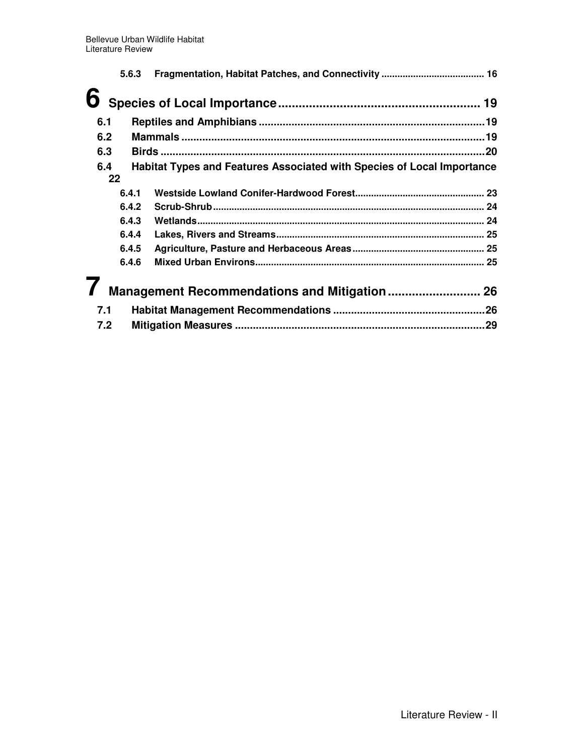|     | 5.6.3 |                                                                        |  |
|-----|-------|------------------------------------------------------------------------|--|
| 6   |       |                                                                        |  |
| 6.1 |       |                                                                        |  |
| 6.2 |       |                                                                        |  |
| 6.3 |       |                                                                        |  |
| 6.4 | 22    | Habitat Types and Features Associated with Species of Local Importance |  |
|     | 6.4.1 |                                                                        |  |
|     | 6.4.2 |                                                                        |  |
|     | 6.4.3 |                                                                        |  |
|     | 6.4.4 |                                                                        |  |
|     | 6.4.5 |                                                                        |  |
|     | 6.4.6 |                                                                        |  |
|     |       | Management Recommendations and Mitigation 26                           |  |
| 7.1 |       |                                                                        |  |
| 7.2 |       |                                                                        |  |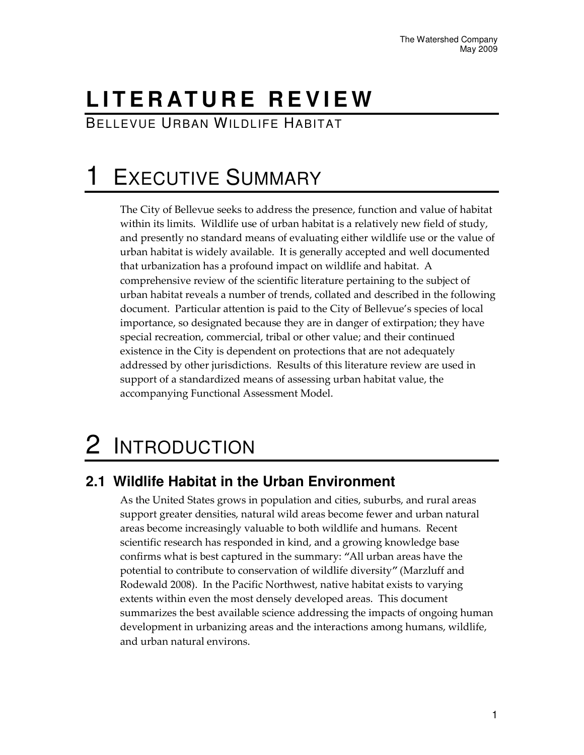# **L I T E R AT U R E R E V I E W**

BELLEVUE URBAN WILDLIFE HABITAT

# **EXECUTIVE SUMMARY**

The City of Bellevue seeks to address the presence, function and value of habitat within its limits. Wildlife use of urban habitat is a relatively new field of study, and presently no standard means of evaluating either wildlife use or the value of urban habitat is widely available. It is generally accepted and well documented that urbanization has a profound impact on wildlife and habitat. A comprehensive review of the scientific literature pertaining to the subject of urban habitat reveals a number of trends, collated and described in the following document. Particular attention is paid to the City of Bellevue's species of local importance, so designated because they are in danger of extirpation; they have special recreation, commercial, tribal or other value; and their continued existence in the City is dependent on protections that are not adequately addressed by other jurisdictions. Results of this literature review are used in support of a standardized means of assessing urban habitat value, the accompanying Functional Assessment Model.

# 2 INTRODUCTION

# **2.1 Wildlife Habitat in the Urban Environment**

As the United States grows in population and cities, suburbs, and rural areas support greater densities, natural wild areas become fewer and urban natural areas become increasingly valuable to both wildlife and humans. Recent scientific research has responded in kind, and a growing knowledge base confirms what is best captured in the summary: "All urban areas have the potential to contribute to conservation of wildlife diversity" (Marzluff and Rodewald 2008). In the Pacific Northwest, native habitat exists to varying extents within even the most densely developed areas. This document summarizes the best available science addressing the impacts of ongoing human development in urbanizing areas and the interactions among humans, wildlife, and urban natural environs.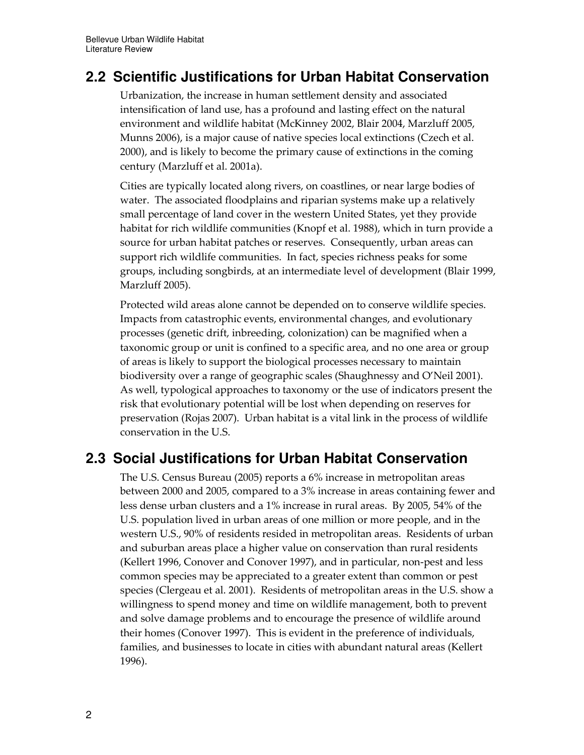## **2.2 Scientific Justifications for Urban Habitat Conservation**

Urbanization, the increase in human settlement density and associated intensification of land use, has a profound and lasting effect on the natural environment and wildlife habitat (McKinney 2002, Blair 2004, Marzluff 2005, Munns 2006), is a major cause of native species local extinctions (Czech et al. 2000), and is likely to become the primary cause of extinctions in the coming century (Marzluff et al. 2001a).

Cities are typically located along rivers, on coastlines, or near large bodies of water. The associated floodplains and riparian systems make up a relatively small percentage of land cover in the western United States, yet they provide habitat for rich wildlife communities (Knopf et al. 1988), which in turn provide a source for urban habitat patches or reserves. Consequently, urban areas can support rich wildlife communities. In fact, species richness peaks for some groups, including songbirds, at an intermediate level of development (Blair 1999, Marzluff 2005).

Protected wild areas alone cannot be depended on to conserve wildlife species. Impacts from catastrophic events, environmental changes, and evolutionary processes (genetic drift, inbreeding, colonization) can be magnified when a taxonomic group or unit is confined to a specific area, and no one area or group of areas is likely to support the biological processes necessary to maintain biodiversity over a range of geographic scales (Shaughnessy and O'Neil 2001). As well, typological approaches to taxonomy or the use of indicators present the risk that evolutionary potential will be lost when depending on reserves for preservation (Rojas 2007). Urban habitat is a vital link in the process of wildlife conservation in the U.S.

## **2.3 Social Justifications for Urban Habitat Conservation**

The U.S. Census Bureau (2005) reports a 6% increase in metropolitan areas between 2000 and 2005, compared to a 3% increase in areas containing fewer and less dense urban clusters and a 1% increase in rural areas. By 2005, 54% of the U.S. population lived in urban areas of one million or more people, and in the western U.S., 90% of residents resided in metropolitan areas. Residents of urban and suburban areas place a higher value on conservation than rural residents (Kellert 1996, Conover and Conover 1997), and in particular, non-pest and less common species may be appreciated to a greater extent than common or pest species (Clergeau et al. 2001). Residents of metropolitan areas in the U.S. show a willingness to spend money and time on wildlife management, both to prevent and solve damage problems and to encourage the presence of wildlife around their homes (Conover 1997). This is evident in the preference of individuals, families, and businesses to locate in cities with abundant natural areas (Kellert 1996).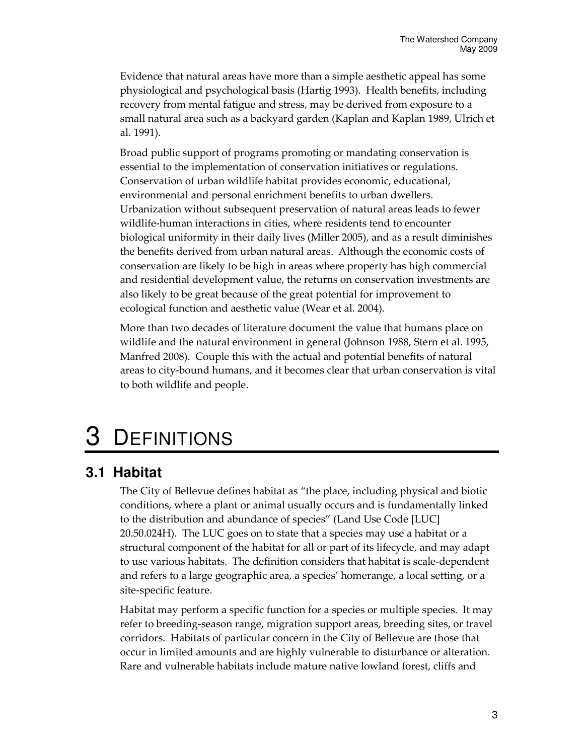Evidence that natural areas have more than a simple aesthetic appeal has some physiological and psychological basis (Hartig 1993). Health benefits, including recovery from mental fatigue and stress, may be derived from exposure to a small natural area such as a backyard garden (Kaplan and Kaplan 1989, Ulrich et al. 1991).

Broad public support of programs promoting or mandating conservation is essential to the implementation of conservation initiatives or regulations. Conservation of urban wildlife habitat provides economic, educational, environmental and personal enrichment benefits to urban dwellers. Urbanization without subsequent preservation of natural areas leads to fewer wildlife-human interactions in cities, where residents tend to encounter biological uniformity in their daily lives (Miller 2005), and as a result diminishes the benefits derived from urban natural areas. Although the economic costs of conservation are likely to be high in areas where property has high commercial and residential development value, the returns on conservation investments are also likely to be great because of the great potential for improvement to ecological function and aesthetic value (Wear et al. 2004).

More than two decades of literature document the value that humans place on wildlife and the natural environment in general (Johnson 1988, Stern et al. 1995, Manfred 2008). Couple this with the actual and potential benefits of natural areas to city-bound humans, and it becomes clear that urban conservation is vital to both wildlife and people.

# **DEFINITIONS**

### **3.1 Habitat**

The City of Bellevue defines habitat as "the place, including physical and biotic conditions, where a plant or animal usually occurs and is fundamentally linked to the distribution and abundance of species" (Land Use Code [LUC] 20.50.024H). The LUC goes on to state that a species may use a habitat or a structural component of the habitat for all or part of its lifecycle, and may adapt to use various habitats. The definition considers that habitat is scale-dependent and refers to a large geographic area, a species' homerange, a local setting, or a site-specific feature.

Habitat may perform a specific function for a species or multiple species. It may refer to breeding-season range, migration support areas, breeding sites, or travel corridors. Habitats of particular concern in the City of Bellevue are those that occur in limited amounts and are highly vulnerable to disturbance or alteration. Rare and vulnerable habitats include mature native lowland forest, cliffs and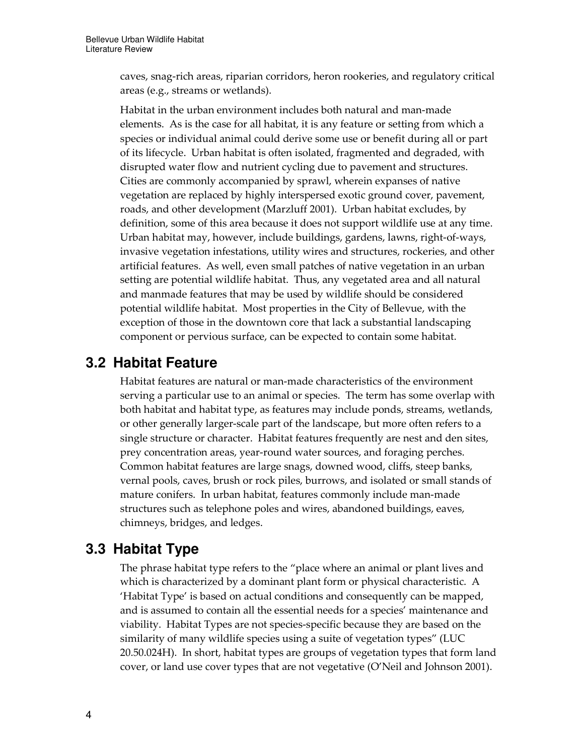caves, snag-rich areas, riparian corridors, heron rookeries, and regulatory critical areas (e.g., streams or wetlands).

Habitat in the urban environment includes both natural and man-made elements. As is the case for all habitat, it is any feature or setting from which a species or individual animal could derive some use or benefit during all or part of its lifecycle. Urban habitat is often isolated, fragmented and degraded, with disrupted water flow and nutrient cycling due to pavement and structures. Cities are commonly accompanied by sprawl, wherein expanses of native vegetation are replaced by highly interspersed exotic ground cover, pavement, roads, and other development (Marzluff 2001). Urban habitat excludes, by definition, some of this area because it does not support wildlife use at any time. Urban habitat may, however, include buildings, gardens, lawns, right-of-ways, invasive vegetation infestations, utility wires and structures, rockeries, and other artificial features. As well, even small patches of native vegetation in an urban setting are potential wildlife habitat. Thus, any vegetated area and all natural and manmade features that may be used by wildlife should be considered potential wildlife habitat. Most properties in the City of Bellevue, with the exception of those in the downtown core that lack a substantial landscaping component or pervious surface, can be expected to contain some habitat.

### **3.2 Habitat Feature**

Habitat features are natural or man-made characteristics of the environment serving a particular use to an animal or species. The term has some overlap with both habitat and habitat type, as features may include ponds, streams, wetlands, or other generally larger-scale part of the landscape, but more often refers to a single structure or character. Habitat features frequently are nest and den sites, prey concentration areas, year-round water sources, and foraging perches. Common habitat features are large snags, downed wood, cliffs, steep banks, vernal pools, caves, brush or rock piles, burrows, and isolated or small stands of mature conifers. In urban habitat, features commonly include man-made structures such as telephone poles and wires, abandoned buildings, eaves, chimneys, bridges, and ledges.

### **3.3 Habitat Type**

The phrase habitat type refers to the "place where an animal or plant lives and which is characterized by a dominant plant form or physical characteristic. A 'Habitat Type' is based on actual conditions and consequently can be mapped, and is assumed to contain all the essential needs for a species' maintenance and viability. Habitat Types are not species-specific because they are based on the similarity of many wildlife species using a suite of vegetation types" (LUC 20.50.024H). In short, habitat types are groups of vegetation types that form land cover, or land use cover types that are not vegetative (O'Neil and Johnson 2001).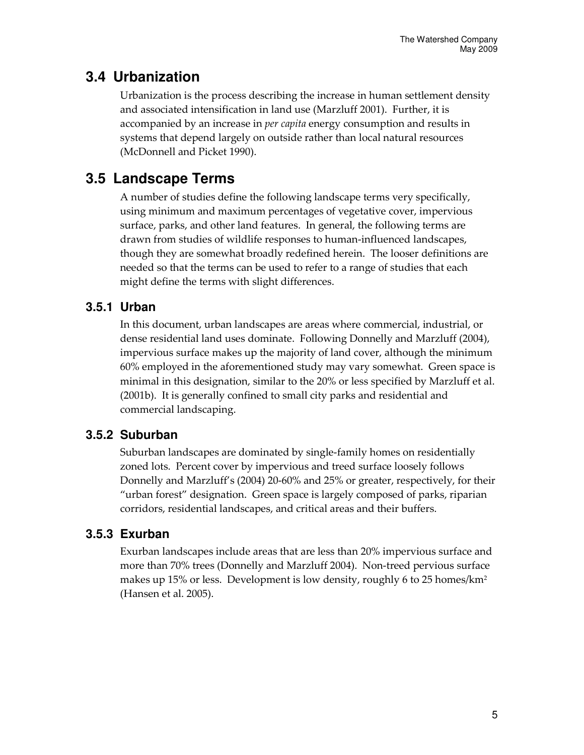## **3.4 Urbanization**

Urbanization is the process describing the increase in human settlement density and associated intensification in land use (Marzluff 2001). Further, it is accompanied by an increase in *per capita* energy consumption and results in systems that depend largely on outside rather than local natural resources (McDonnell and Picket 1990).

## **3.5 Landscape Terms**

A number of studies define the following landscape terms very specifically, using minimum and maximum percentages of vegetative cover, impervious surface, parks, and other land features. In general, the following terms are drawn from studies of wildlife responses to human-influenced landscapes, though they are somewhat broadly redefined herein. The looser definitions are needed so that the terms can be used to refer to a range of studies that each might define the terms with slight differences.

### **3.5.1 Urban**

In this document, urban landscapes are areas where commercial, industrial, or dense residential land uses dominate. Following Donnelly and Marzluff (2004), impervious surface makes up the majority of land cover, although the minimum 60% employed in the aforementioned study may vary somewhat. Green space is minimal in this designation, similar to the 20% or less specified by Marzluff et al. (2001b). It is generally confined to small city parks and residential and commercial landscaping.

### **3.5.2 Suburban**

Suburban landscapes are dominated by single-family homes on residentially zoned lots. Percent cover by impervious and treed surface loosely follows Donnelly and Marzluff's (2004) 20-60% and 25% or greater, respectively, for their "urban forest" designation. Green space is largely composed of parks, riparian corridors, residential landscapes, and critical areas and their buffers.

### **3.5.3 Exurban**

Exurban landscapes include areas that are less than 20% impervious surface and more than 70% trees (Donnelly and Marzluff 2004). Non-treed pervious surface makes up 15% or less. Development is low density, roughly 6 to 25 homes/km<sup>2</sup> (Hansen et al. 2005).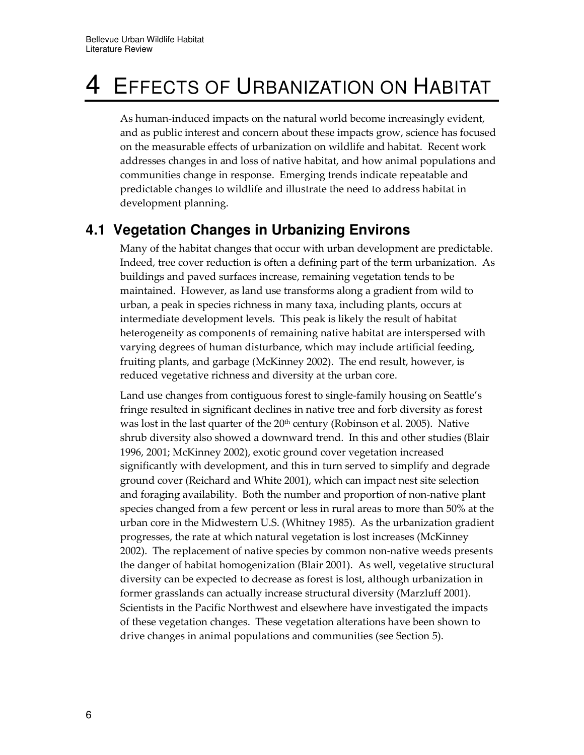# 4 EFFECTS OF URBANIZATION ON HABITAT

As human-induced impacts on the natural world become increasingly evident, and as public interest and concern about these impacts grow, science has focused on the measurable effects of urbanization on wildlife and habitat. Recent work addresses changes in and loss of native habitat, and how animal populations and communities change in response. Emerging trends indicate repeatable and predictable changes to wildlife and illustrate the need to address habitat in development planning.

### **4.1 Vegetation Changes in Urbanizing Environs**

Many of the habitat changes that occur with urban development are predictable. Indeed, tree cover reduction is often a defining part of the term urbanization. As buildings and paved surfaces increase, remaining vegetation tends to be maintained. However, as land use transforms along a gradient from wild to urban, a peak in species richness in many taxa, including plants, occurs at intermediate development levels. This peak is likely the result of habitat heterogeneity as components of remaining native habitat are interspersed with varying degrees of human disturbance, which may include artificial feeding, fruiting plants, and garbage (McKinney 2002). The end result, however, is reduced vegetative richness and diversity at the urban core.

Land use changes from contiguous forest to single-family housing on Seattle's fringe resulted in significant declines in native tree and forb diversity as forest was lost in the last quarter of the 20<sup>th</sup> century (Robinson et al. 2005). Native shrub diversity also showed a downward trend. In this and other studies (Blair 1996, 2001; McKinney 2002), exotic ground cover vegetation increased significantly with development, and this in turn served to simplify and degrade ground cover (Reichard and White 2001), which can impact nest site selection and foraging availability. Both the number and proportion of non-native plant species changed from a few percent or less in rural areas to more than 50% at the urban core in the Midwestern U.S. (Whitney 1985). As the urbanization gradient progresses, the rate at which natural vegetation is lost increases (McKinney 2002). The replacement of native species by common non-native weeds presents the danger of habitat homogenization (Blair 2001). As well, vegetative structural diversity can be expected to decrease as forest is lost, although urbanization in former grasslands can actually increase structural diversity (Marzluff 2001). Scientists in the Pacific Northwest and elsewhere have investigated the impacts of these vegetation changes. These vegetation alterations have been shown to drive changes in animal populations and communities (see Section 5).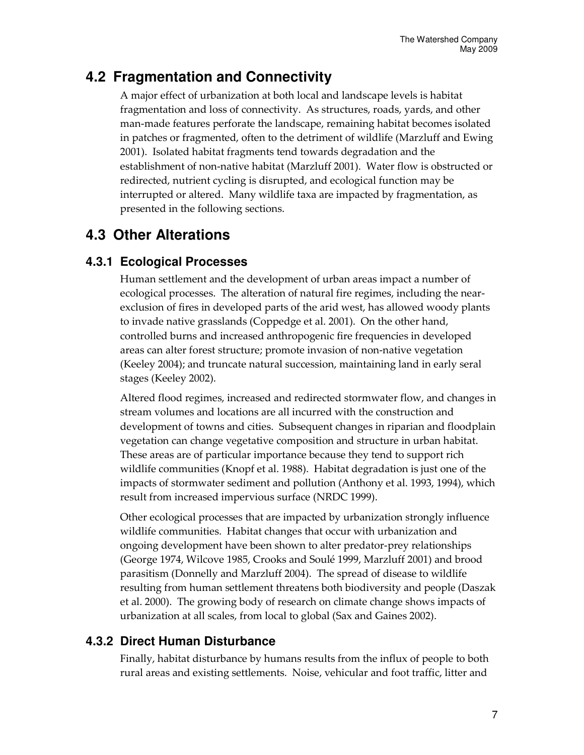## **4.2 Fragmentation and Connectivity**

A major effect of urbanization at both local and landscape levels is habitat fragmentation and loss of connectivity. As structures, roads, yards, and other man-made features perforate the landscape, remaining habitat becomes isolated in patches or fragmented, often to the detriment of wildlife (Marzluff and Ewing 2001). Isolated habitat fragments tend towards degradation and the establishment of non-native habitat (Marzluff 2001). Water flow is obstructed or redirected, nutrient cycling is disrupted, and ecological function may be interrupted or altered. Many wildlife taxa are impacted by fragmentation, as presented in the following sections.

# **4.3 Other Alterations**

### **4.3.1 Ecological Processes**

Human settlement and the development of urban areas impact a number of ecological processes. The alteration of natural fire regimes, including the nearexclusion of fires in developed parts of the arid west, has allowed woody plants to invade native grasslands (Coppedge et al. 2001). On the other hand, controlled burns and increased anthropogenic fire frequencies in developed areas can alter forest structure; promote invasion of non-native vegetation (Keeley 2004); and truncate natural succession, maintaining land in early seral stages (Keeley 2002).

Altered flood regimes, increased and redirected stormwater flow, and changes in stream volumes and locations are all incurred with the construction and development of towns and cities. Subsequent changes in riparian and floodplain vegetation can change vegetative composition and structure in urban habitat. These areas are of particular importance because they tend to support rich wildlife communities (Knopf et al. 1988). Habitat degradation is just one of the impacts of stormwater sediment and pollution (Anthony et al. 1993, 1994), which result from increased impervious surface (NRDC 1999).

Other ecological processes that are impacted by urbanization strongly influence wildlife communities. Habitat changes that occur with urbanization and ongoing development have been shown to alter predator-prey relationships (George 1974, Wilcove 1985, Crooks and Soulé 1999, Marzluff 2001) and brood parasitism (Donnelly and Marzluff 2004). The spread of disease to wildlife resulting from human settlement threatens both biodiversity and people (Daszak et al. 2000). The growing body of research on climate change shows impacts of urbanization at all scales, from local to global (Sax and Gaines 2002).

### **4.3.2 Direct Human Disturbance**

Finally, habitat disturbance by humans results from the influx of people to both rural areas and existing settlements. Noise, vehicular and foot traffic, litter and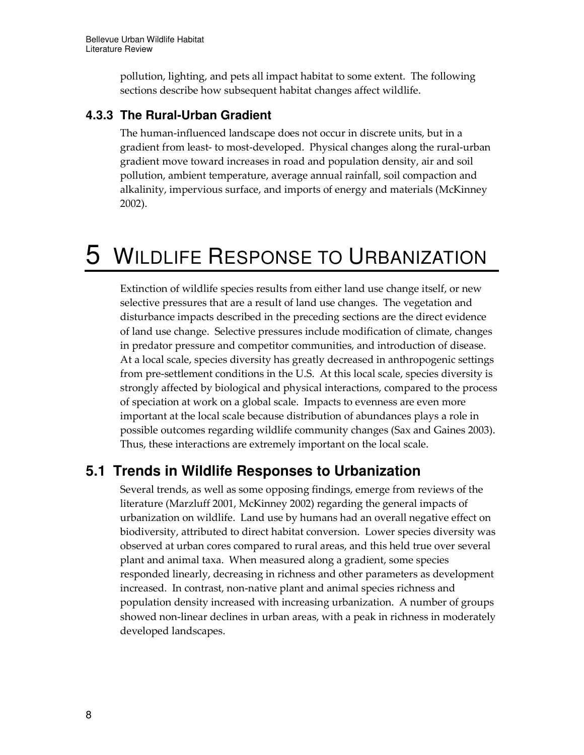pollution, lighting, and pets all impact habitat to some extent. The following sections describe how subsequent habitat changes affect wildlife.

### **4.3.3 The Rural-Urban Gradient**

The human-influenced landscape does not occur in discrete units, but in a gradient from least- to most-developed. Physical changes along the rural-urban gradient move toward increases in road and population density, air and soil pollution, ambient temperature, average annual rainfall, soil compaction and alkalinity, impervious surface, and imports of energy and materials (McKinney 2002).

# 5 WILDLIFE RESPONSE TO URBANIZATION

Extinction of wildlife species results from either land use change itself, or new selective pressures that are a result of land use changes. The vegetation and disturbance impacts described in the preceding sections are the direct evidence of land use change. Selective pressures include modification of climate, changes in predator pressure and competitor communities, and introduction of disease. At a local scale, species diversity has greatly decreased in anthropogenic settings from pre-settlement conditions in the U.S. At this local scale, species diversity is strongly affected by biological and physical interactions, compared to the process of speciation at work on a global scale. Impacts to evenness are even more important at the local scale because distribution of abundances plays a role in possible outcomes regarding wildlife community changes (Sax and Gaines 2003). Thus, these interactions are extremely important on the local scale.

### **5.1 Trends in Wildlife Responses to Urbanization**

Several trends, as well as some opposing findings, emerge from reviews of the literature (Marzluff 2001, McKinney 2002) regarding the general impacts of urbanization on wildlife. Land use by humans had an overall negative effect on biodiversity, attributed to direct habitat conversion. Lower species diversity was observed at urban cores compared to rural areas, and this held true over several plant and animal taxa. When measured along a gradient, some species responded linearly, decreasing in richness and other parameters as development increased. In contrast, non-native plant and animal species richness and population density increased with increasing urbanization. A number of groups showed non-linear declines in urban areas, with a peak in richness in moderately developed landscapes.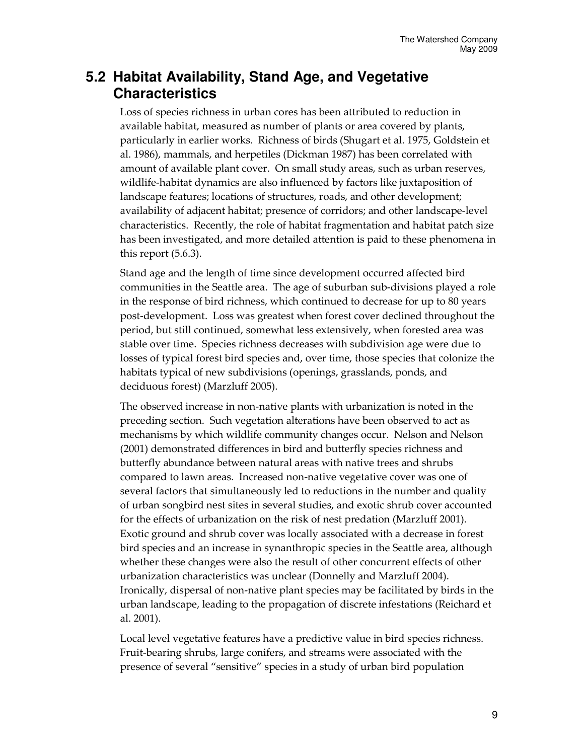### **5.2 Habitat Availability, Stand Age, and Vegetative Characteristics**

Loss of species richness in urban cores has been attributed to reduction in available habitat, measured as number of plants or area covered by plants, particularly in earlier works. Richness of birds (Shugart et al. 1975, Goldstein et al. 1986), mammals, and herpetiles (Dickman 1987) has been correlated with amount of available plant cover. On small study areas, such as urban reserves, wildlife-habitat dynamics are also influenced by factors like juxtaposition of landscape features; locations of structures, roads, and other development; availability of adjacent habitat; presence of corridors; and other landscape-level characteristics. Recently, the role of habitat fragmentation and habitat patch size has been investigated, and more detailed attention is paid to these phenomena in this report (5.6.3).

Stand age and the length of time since development occurred affected bird communities in the Seattle area. The age of suburban sub-divisions played a role in the response of bird richness, which continued to decrease for up to 80 years post-development. Loss was greatest when forest cover declined throughout the period, but still continued, somewhat less extensively, when forested area was stable over time. Species richness decreases with subdivision age were due to losses of typical forest bird species and, over time, those species that colonize the habitats typical of new subdivisions (openings, grasslands, ponds, and deciduous forest) (Marzluff 2005).

The observed increase in non-native plants with urbanization is noted in the preceding section. Such vegetation alterations have been observed to act as mechanisms by which wildlife community changes occur. Nelson and Nelson (2001) demonstrated differences in bird and butterfly species richness and butterfly abundance between natural areas with native trees and shrubs compared to lawn areas. Increased non-native vegetative cover was one of several factors that simultaneously led to reductions in the number and quality of urban songbird nest sites in several studies, and exotic shrub cover accounted for the effects of urbanization on the risk of nest predation (Marzluff 2001). Exotic ground and shrub cover was locally associated with a decrease in forest bird species and an increase in synanthropic species in the Seattle area, although whether these changes were also the result of other concurrent effects of other urbanization characteristics was unclear (Donnelly and Marzluff 2004). Ironically, dispersal of non-native plant species may be facilitated by birds in the urban landscape, leading to the propagation of discrete infestations (Reichard et al. 2001).

Local level vegetative features have a predictive value in bird species richness. Fruit-bearing shrubs, large conifers, and streams were associated with the presence of several "sensitive" species in a study of urban bird population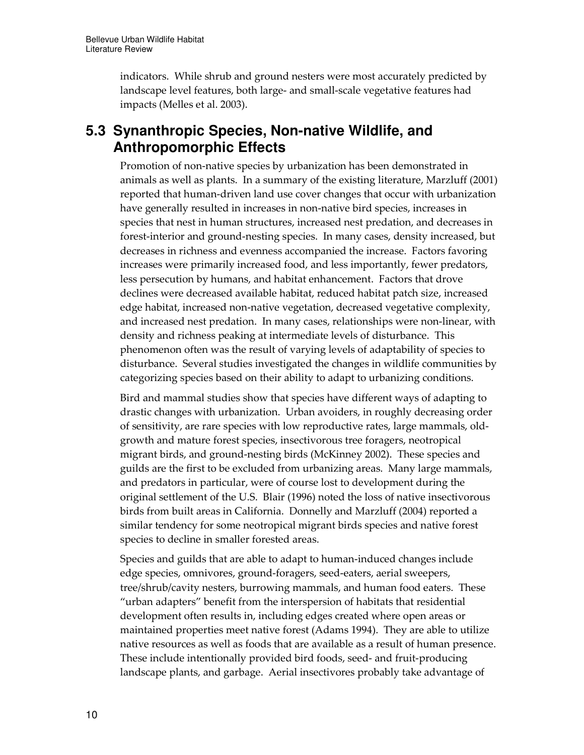indicators. While shrub and ground nesters were most accurately predicted by landscape level features, both large- and small-scale vegetative features had impacts (Melles et al. 2003).

### **5.3 Synanthropic Species, Non-native Wildlife, and Anthropomorphic Effects**

Promotion of non-native species by urbanization has been demonstrated in animals as well as plants. In a summary of the existing literature, Marzluff (2001) reported that human-driven land use cover changes that occur with urbanization have generally resulted in increases in non-native bird species, increases in species that nest in human structures, increased nest predation, and decreases in forest-interior and ground-nesting species. In many cases, density increased, but decreases in richness and evenness accompanied the increase. Factors favoring increases were primarily increased food, and less importantly, fewer predators, less persecution by humans, and habitat enhancement. Factors that drove declines were decreased available habitat, reduced habitat patch size, increased edge habitat, increased non-native vegetation, decreased vegetative complexity, and increased nest predation. In many cases, relationships were non-linear, with density and richness peaking at intermediate levels of disturbance. This phenomenon often was the result of varying levels of adaptability of species to disturbance. Several studies investigated the changes in wildlife communities by categorizing species based on their ability to adapt to urbanizing conditions.

Bird and mammal studies show that species have different ways of adapting to drastic changes with urbanization. Urban avoiders, in roughly decreasing order of sensitivity, are rare species with low reproductive rates, large mammals, oldgrowth and mature forest species, insectivorous tree foragers, neotropical migrant birds, and ground-nesting birds (McKinney 2002). These species and guilds are the first to be excluded from urbanizing areas. Many large mammals, and predators in particular, were of course lost to development during the original settlement of the U.S. Blair (1996) noted the loss of native insectivorous birds from built areas in California. Donnelly and Marzluff (2004) reported a similar tendency for some neotropical migrant birds species and native forest species to decline in smaller forested areas.

Species and guilds that are able to adapt to human-induced changes include edge species, omnivores, ground-foragers, seed-eaters, aerial sweepers, tree/shrub/cavity nesters, burrowing mammals, and human food eaters. These "urban adapters" benefit from the interspersion of habitats that residential development often results in, including edges created where open areas or maintained properties meet native forest (Adams 1994). They are able to utilize native resources as well as foods that are available as a result of human presence. These include intentionally provided bird foods, seed- and fruit-producing landscape plants, and garbage. Aerial insectivores probably take advantage of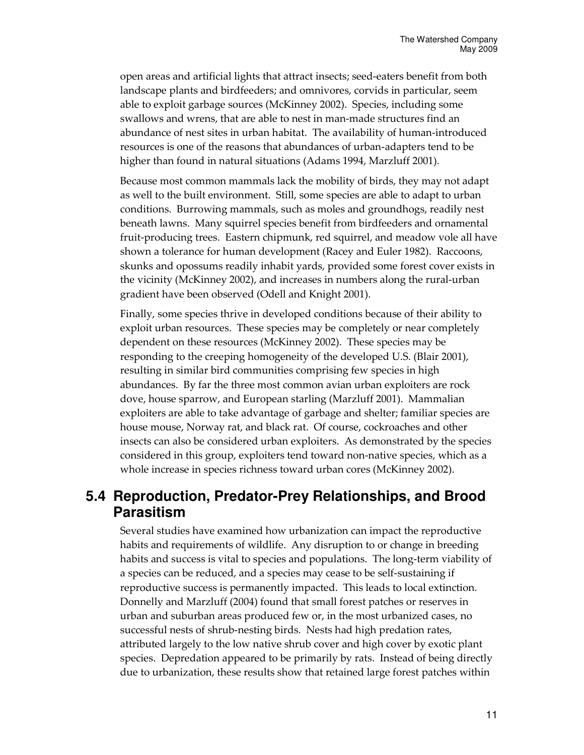open areas and artificial lights that attract insects; seed-eaters benefit from both landscape plants and birdfeeders; and omnivores, corvids in particular, seem able to exploit garbage sources (McKinney 2002). Species, including some swallows and wrens, that are able to nest in man-made structures find an abundance of nest sites in urban habitat. The availability of human-introduced resources is one of the reasons that abundances of urban-adapters tend to be higher than found in natural situations (Adams 1994, Marzluff 2001).

Because most common mammals lack the mobility of birds, they may not adapt as well to the built environment. Still, some species are able to adapt to urban conditions. Burrowing mammals, such as moles and groundhogs, readily nest beneath lawns. Many squirrel species benefit from birdfeeders and ornamental fruit-producing trees. Eastern chipmunk, red squirrel, and meadow vole all have shown a tolerance for human development (Racey and Euler 1982). Raccoons, skunks and opossums readily inhabit yards, provided some forest cover exists in the vicinity (McKinney 2002), and increases in numbers along the rural-urban gradient have been observed (Odell and Knight 2001).

Finally, some species thrive in developed conditions because of their ability to exploit urban resources. These species may be completely or near completely dependent on these resources (McKinney 2002). These species may be responding to the creeping homogeneity of the developed U.S. (Blair 2001), resulting in similar bird communities comprising few species in high abundances. By far the three most common avian urban exploiters are rock dove, house sparrow, and European starling (Marzluff 2001). Mammalian exploiters are able to take advantage of garbage and shelter; familiar species are house mouse, Norway rat, and black rat. Of course, cockroaches and other insects can also be considered urban exploiters. As demonstrated by the species considered in this group, exploiters tend toward non-native species, which as a whole increase in species richness toward urban cores (McKinney 2002).

### **5.4 Reproduction, Predator-Prey Relationships, and Brood Parasitism**

Several studies have examined how urbanization can impact the reproductive habits and requirements of wildlife. Any disruption to or change in breeding habits and success is vital to species and populations. The long-term viability of a species can be reduced, and a species may cease to be self-sustaining if reproductive success is permanently impacted. This leads to local extinction. Donnelly and Marzluff (2004) found that small forest patches or reserves in urban and suburban areas produced few or, in the most urbanized cases, no successful nests of shrub-nesting birds. Nests had high predation rates, attributed largely to the low native shrub cover and high cover by exotic plant species. Depredation appeared to be primarily by rats. Instead of being directly due to urbanization, these results show that retained large forest patches within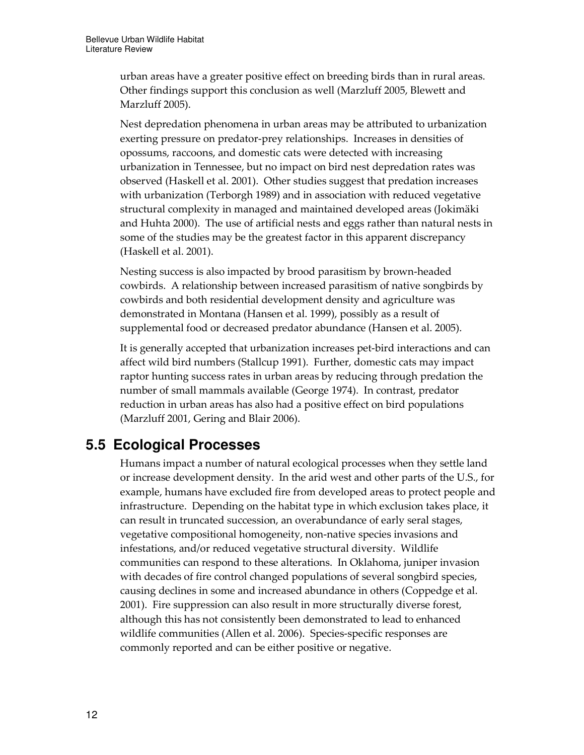urban areas have a greater positive effect on breeding birds than in rural areas. Other findings support this conclusion as well (Marzluff 2005, Blewett and Marzluff 2005).

Nest depredation phenomena in urban areas may be attributed to urbanization exerting pressure on predator-prey relationships. Increases in densities of opossums, raccoons, and domestic cats were detected with increasing urbanization in Tennessee, but no impact on bird nest depredation rates was observed (Haskell et al. 2001). Other studies suggest that predation increases with urbanization (Terborgh 1989) and in association with reduced vegetative structural complexity in managed and maintained developed areas (Jokimäki and Huhta 2000). The use of artificial nests and eggs rather than natural nests in some of the studies may be the greatest factor in this apparent discrepancy (Haskell et al. 2001).

Nesting success is also impacted by brood parasitism by brown-headed cowbirds. A relationship between increased parasitism of native songbirds by cowbirds and both residential development density and agriculture was demonstrated in Montana (Hansen et al. 1999), possibly as a result of supplemental food or decreased predator abundance (Hansen et al. 2005).

It is generally accepted that urbanization increases pet-bird interactions and can affect wild bird numbers (Stallcup 1991). Further, domestic cats may impact raptor hunting success rates in urban areas by reducing through predation the number of small mammals available (George 1974). In contrast, predator reduction in urban areas has also had a positive effect on bird populations (Marzluff 2001, Gering and Blair 2006).

# **5.5 Ecological Processes**

Humans impact a number of natural ecological processes when they settle land or increase development density. In the arid west and other parts of the U.S., for example, humans have excluded fire from developed areas to protect people and infrastructure. Depending on the habitat type in which exclusion takes place, it can result in truncated succession, an overabundance of early seral stages, vegetative compositional homogeneity, non-native species invasions and infestations, and/or reduced vegetative structural diversity. Wildlife communities can respond to these alterations. In Oklahoma, juniper invasion with decades of fire control changed populations of several songbird species, causing declines in some and increased abundance in others (Coppedge et al. 2001). Fire suppression can also result in more structurally diverse forest, although this has not consistently been demonstrated to lead to enhanced wildlife communities (Allen et al. 2006). Species-specific responses are commonly reported and can be either positive or negative.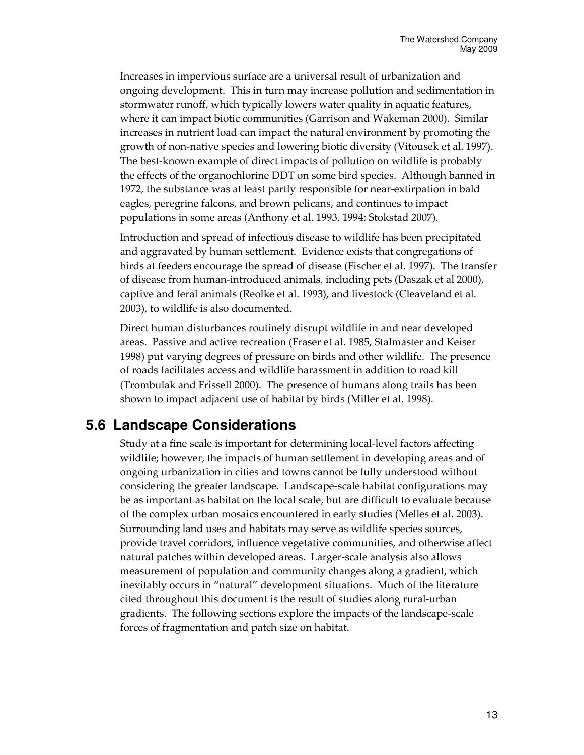Increases in impervious surface are a universal result of urbanization and ongoing development. This in turn may increase pollution and sedimentation in stormwater runoff, which typically lowers water quality in aquatic features, where it can impact biotic communities (Garrison and Wakeman 2000). Similar increases in nutrient load can impact the natural environment by promoting the growth of non-native species and lowering biotic diversity (Vitousek et al. 1997). The best-known example of direct impacts of pollution on wildlife is probably the effects of the organochlorine DDT on some bird species. Although banned in 1972, the substance was at least partly responsible for near-extirpation in bald eagles, peregrine falcons, and brown pelicans, and continues to impact populations in some areas (Anthony et al. 1993, 1994; Stokstad 2007).

Introduction and spread of infectious disease to wildlife has been precipitated and aggravated by human settlement. Evidence exists that congregations of birds at feeders encourage the spread of disease (Fischer et al. 1997). The transfer of disease from human-introduced animals, including pets (Daszak et al 2000), captive and feral animals (Reolke et al. 1993), and livestock (Cleaveland et al. 2003), to wildlife is also documented.

Direct human disturbances routinely disrupt wildlife in and near developed areas. Passive and active recreation (Fraser et al. 1985, Stalmaster and Keiser 1998) put varying degrees of pressure on birds and other wildlife. The presence of roads facilitates access and wildlife harassment in addition to road kill (Trombulak and Frissell 2000). The presence of humans along trails has been shown to impact adjacent use of habitat by birds (Miller et al. 1998).

## **5.6 Landscape Considerations**

Study at a fine scale is important for determining local-level factors affecting wildlife; however, the impacts of human settlement in developing areas and of ongoing urbanization in cities and towns cannot be fully understood without considering the greater landscape. Landscape-scale habitat configurations may be as important as habitat on the local scale, but are difficult to evaluate because of the complex urban mosaics encountered in early studies (Melles et al. 2003). Surrounding land uses and habitats may serve as wildlife species sources, provide travel corridors, influence vegetative communities, and otherwise affect natural patches within developed areas. Larger-scale analysis also allows measurement of population and community changes along a gradient, which inevitably occurs in "natural" development situations. Much of the literature cited throughout this document is the result of studies along rural-urban gradients. The following sections explore the impacts of the landscape-scale forces of fragmentation and patch size on habitat.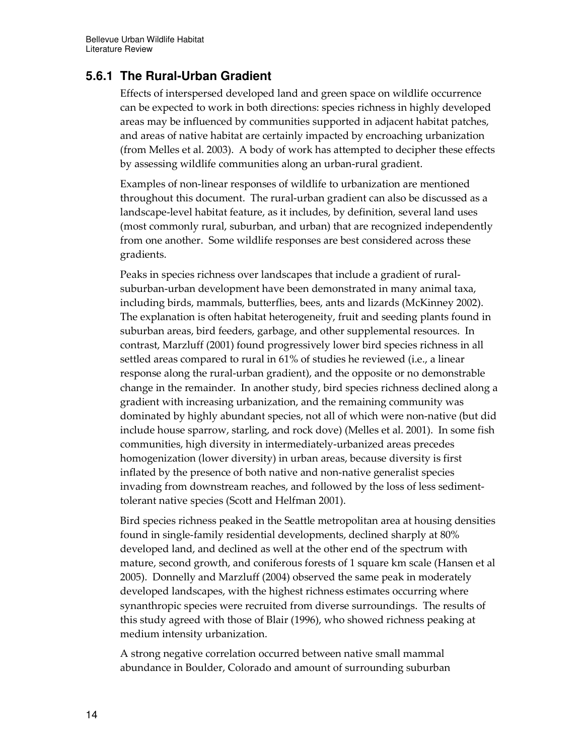### **5.6.1 The Rural-Urban Gradient**

Effects of interspersed developed land and green space on wildlife occurrence can be expected to work in both directions: species richness in highly developed areas may be influenced by communities supported in adjacent habitat patches, and areas of native habitat are certainly impacted by encroaching urbanization (from Melles et al. 2003). A body of work has attempted to decipher these effects by assessing wildlife communities along an urban-rural gradient.

Examples of non-linear responses of wildlife to urbanization are mentioned throughout this document. The rural-urban gradient can also be discussed as a landscape-level habitat feature, as it includes, by definition, several land uses (most commonly rural, suburban, and urban) that are recognized independently from one another. Some wildlife responses are best considered across these gradients.

Peaks in species richness over landscapes that include a gradient of ruralsuburban-urban development have been demonstrated in many animal taxa, including birds, mammals, butterflies, bees, ants and lizards (McKinney 2002). The explanation is often habitat heterogeneity, fruit and seeding plants found in suburban areas, bird feeders, garbage, and other supplemental resources. In contrast, Marzluff (2001) found progressively lower bird species richness in all settled areas compared to rural in 61% of studies he reviewed (i.e., a linear response along the rural-urban gradient), and the opposite or no demonstrable change in the remainder. In another study, bird species richness declined along a gradient with increasing urbanization, and the remaining community was dominated by highly abundant species, not all of which were non-native (but did include house sparrow, starling, and rock dove) (Melles et al. 2001). In some fish communities, high diversity in intermediately-urbanized areas precedes homogenization (lower diversity) in urban areas, because diversity is first inflated by the presence of both native and non-native generalist species invading from downstream reaches, and followed by the loss of less sedimenttolerant native species (Scott and Helfman 2001).

Bird species richness peaked in the Seattle metropolitan area at housing densities found in single-family residential developments, declined sharply at 80% developed land, and declined as well at the other end of the spectrum with mature, second growth, and coniferous forests of 1 square km scale (Hansen et al 2005). Donnelly and Marzluff (2004) observed the same peak in moderately developed landscapes, with the highest richness estimates occurring where synanthropic species were recruited from diverse surroundings. The results of this study agreed with those of Blair (1996), who showed richness peaking at medium intensity urbanization.

A strong negative correlation occurred between native small mammal abundance in Boulder, Colorado and amount of surrounding suburban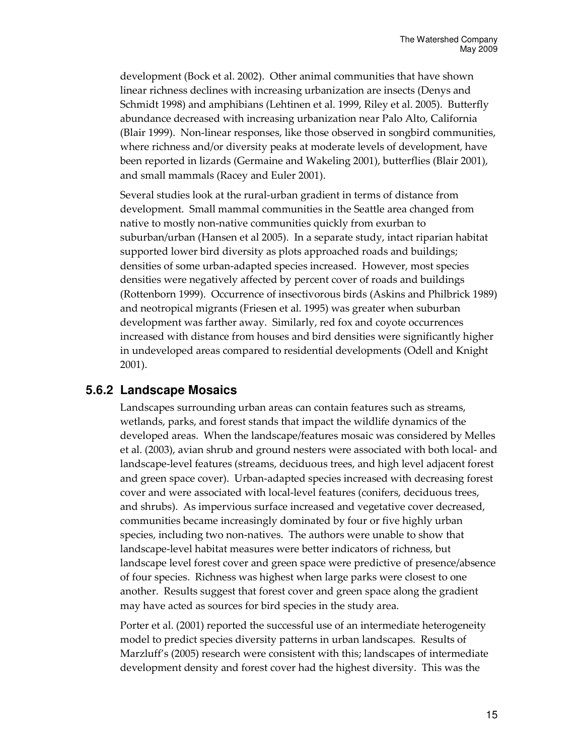development (Bock et al. 2002). Other animal communities that have shown linear richness declines with increasing urbanization are insects (Denys and Schmidt 1998) and amphibians (Lehtinen et al. 1999, Riley et al. 2005). Butterfly abundance decreased with increasing urbanization near Palo Alto, California (Blair 1999). Non-linear responses, like those observed in songbird communities, where richness and/or diversity peaks at moderate levels of development, have been reported in lizards (Germaine and Wakeling 2001), butterflies (Blair 2001), and small mammals (Racey and Euler 2001).

Several studies look at the rural-urban gradient in terms of distance from development. Small mammal communities in the Seattle area changed from native to mostly non-native communities quickly from exurban to suburban/urban (Hansen et al 2005). In a separate study, intact riparian habitat supported lower bird diversity as plots approached roads and buildings; densities of some urban-adapted species increased. However, most species densities were negatively affected by percent cover of roads and buildings (Rottenborn 1999). Occurrence of insectivorous birds (Askins and Philbrick 1989) and neotropical migrants (Friesen et al. 1995) was greater when suburban development was farther away. Similarly, red fox and coyote occurrences increased with distance from houses and bird densities were significantly higher in undeveloped areas compared to residential developments (Odell and Knight 2001).

#### **5.6.2 Landscape Mosaics**

Landscapes surrounding urban areas can contain features such as streams, wetlands, parks, and forest stands that impact the wildlife dynamics of the developed areas. When the landscape/features mosaic was considered by Melles et al. (2003), avian shrub and ground nesters were associated with both local- and landscape-level features (streams, deciduous trees, and high level adjacent forest and green space cover). Urban-adapted species increased with decreasing forest cover and were associated with local-level features (conifers, deciduous trees, and shrubs). As impervious surface increased and vegetative cover decreased, communities became increasingly dominated by four or five highly urban species, including two non-natives. The authors were unable to show that landscape-level habitat measures were better indicators of richness, but landscape level forest cover and green space were predictive of presence/absence of four species. Richness was highest when large parks were closest to one another. Results suggest that forest cover and green space along the gradient may have acted as sources for bird species in the study area.

Porter et al. (2001) reported the successful use of an intermediate heterogeneity model to predict species diversity patterns in urban landscapes. Results of Marzluff's (2005) research were consistent with this; landscapes of intermediate development density and forest cover had the highest diversity. This was the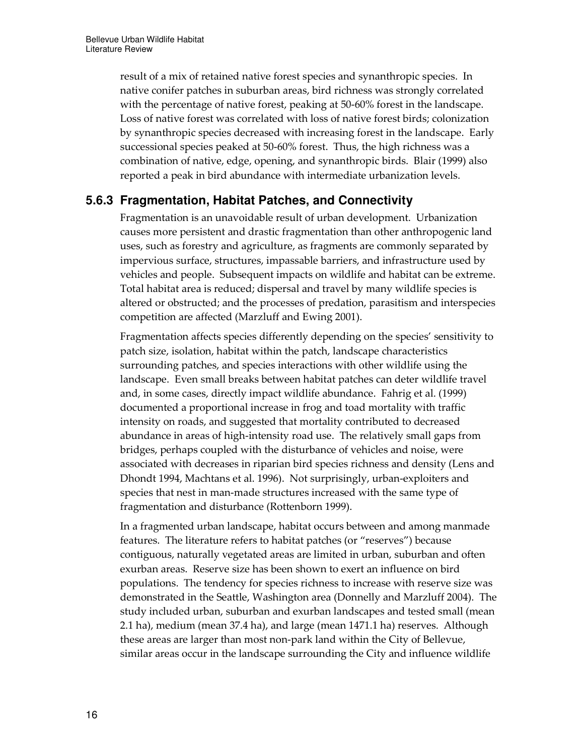result of a mix of retained native forest species and synanthropic species. In native conifer patches in suburban areas, bird richness was strongly correlated with the percentage of native forest, peaking at 50-60% forest in the landscape. Loss of native forest was correlated with loss of native forest birds; colonization by synanthropic species decreased with increasing forest in the landscape. Early successional species peaked at 50-60% forest. Thus, the high richness was a combination of native, edge, opening, and synanthropic birds. Blair (1999) also reported a peak in bird abundance with intermediate urbanization levels.

### **5.6.3 Fragmentation, Habitat Patches, and Connectivity**

Fragmentation is an unavoidable result of urban development. Urbanization causes more persistent and drastic fragmentation than other anthropogenic land uses, such as forestry and agriculture, as fragments are commonly separated by impervious surface, structures, impassable barriers, and infrastructure used by vehicles and people. Subsequent impacts on wildlife and habitat can be extreme. Total habitat area is reduced; dispersal and travel by many wildlife species is altered or obstructed; and the processes of predation, parasitism and interspecies competition are affected (Marzluff and Ewing 2001).

Fragmentation affects species differently depending on the species' sensitivity to patch size, isolation, habitat within the patch, landscape characteristics surrounding patches, and species interactions with other wildlife using the landscape. Even small breaks between habitat patches can deter wildlife travel and, in some cases, directly impact wildlife abundance. Fahrig et al. (1999) documented a proportional increase in frog and toad mortality with traffic intensity on roads, and suggested that mortality contributed to decreased abundance in areas of high-intensity road use. The relatively small gaps from bridges, perhaps coupled with the disturbance of vehicles and noise, were associated with decreases in riparian bird species richness and density (Lens and Dhondt 1994, Machtans et al. 1996). Not surprisingly, urban-exploiters and species that nest in man-made structures increased with the same type of fragmentation and disturbance (Rottenborn 1999).

In a fragmented urban landscape, habitat occurs between and among manmade features. The literature refers to habitat patches (or "reserves") because contiguous, naturally vegetated areas are limited in urban, suburban and often exurban areas. Reserve size has been shown to exert an influence on bird populations. The tendency for species richness to increase with reserve size was demonstrated in the Seattle, Washington area (Donnelly and Marzluff 2004). The study included urban, suburban and exurban landscapes and tested small (mean 2.1 ha), medium (mean 37.4 ha), and large (mean 1471.1 ha) reserves. Although these areas are larger than most non-park land within the City of Bellevue, similar areas occur in the landscape surrounding the City and influence wildlife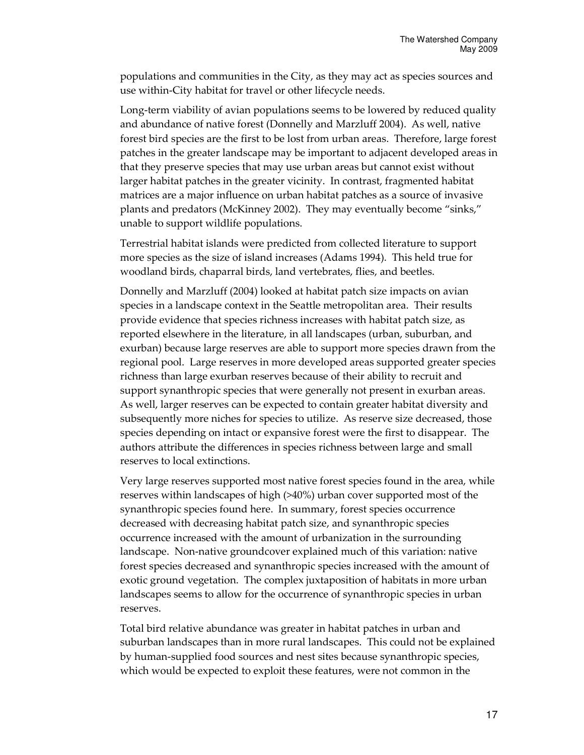populations and communities in the City, as they may act as species sources and use within-City habitat for travel or other lifecycle needs.

Long-term viability of avian populations seems to be lowered by reduced quality and abundance of native forest (Donnelly and Marzluff 2004). As well, native forest bird species are the first to be lost from urban areas. Therefore, large forest patches in the greater landscape may be important to adjacent developed areas in that they preserve species that may use urban areas but cannot exist without larger habitat patches in the greater vicinity. In contrast, fragmented habitat matrices are a major influence on urban habitat patches as a source of invasive plants and predators (McKinney 2002). They may eventually become "sinks," unable to support wildlife populations.

Terrestrial habitat islands were predicted from collected literature to support more species as the size of island increases (Adams 1994). This held true for woodland birds, chaparral birds, land vertebrates, flies, and beetles.

Donnelly and Marzluff (2004) looked at habitat patch size impacts on avian species in a landscape context in the Seattle metropolitan area. Their results provide evidence that species richness increases with habitat patch size, as reported elsewhere in the literature, in all landscapes (urban, suburban, and exurban) because large reserves are able to support more species drawn from the regional pool. Large reserves in more developed areas supported greater species richness than large exurban reserves because of their ability to recruit and support synanthropic species that were generally not present in exurban areas. As well, larger reserves can be expected to contain greater habitat diversity and subsequently more niches for species to utilize. As reserve size decreased, those species depending on intact or expansive forest were the first to disappear. The authors attribute the differences in species richness between large and small reserves to local extinctions.

Very large reserves supported most native forest species found in the area, while reserves within landscapes of high (>40%) urban cover supported most of the synanthropic species found here. In summary, forest species occurrence decreased with decreasing habitat patch size, and synanthropic species occurrence increased with the amount of urbanization in the surrounding landscape. Non-native groundcover explained much of this variation: native forest species decreased and synanthropic species increased with the amount of exotic ground vegetation. The complex juxtaposition of habitats in more urban landscapes seems to allow for the occurrence of synanthropic species in urban reserves.

Total bird relative abundance was greater in habitat patches in urban and suburban landscapes than in more rural landscapes. This could not be explained by human-supplied food sources and nest sites because synanthropic species, which would be expected to exploit these features, were not common in the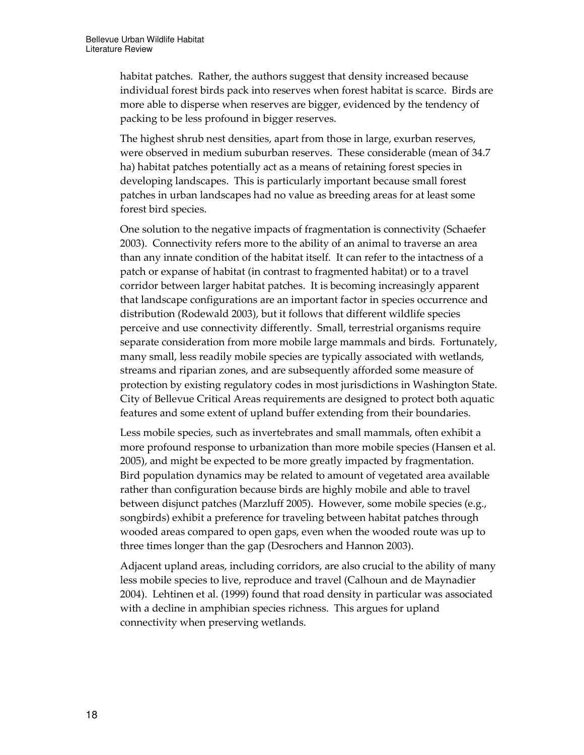habitat patches. Rather, the authors suggest that density increased because individual forest birds pack into reserves when forest habitat is scarce. Birds are more able to disperse when reserves are bigger, evidenced by the tendency of packing to be less profound in bigger reserves.

The highest shrub nest densities, apart from those in large, exurban reserves, were observed in medium suburban reserves. These considerable (mean of 34.7 ha) habitat patches potentially act as a means of retaining forest species in developing landscapes. This is particularly important because small forest patches in urban landscapes had no value as breeding areas for at least some forest bird species.

One solution to the negative impacts of fragmentation is connectivity (Schaefer 2003). Connectivity refers more to the ability of an animal to traverse an area than any innate condition of the habitat itself. It can refer to the intactness of a patch or expanse of habitat (in contrast to fragmented habitat) or to a travel corridor between larger habitat patches. It is becoming increasingly apparent that landscape configurations are an important factor in species occurrence and distribution (Rodewald 2003), but it follows that different wildlife species perceive and use connectivity differently. Small, terrestrial organisms require separate consideration from more mobile large mammals and birds. Fortunately, many small, less readily mobile species are typically associated with wetlands, streams and riparian zones, and are subsequently afforded some measure of protection by existing regulatory codes in most jurisdictions in Washington State. City of Bellevue Critical Areas requirements are designed to protect both aquatic features and some extent of upland buffer extending from their boundaries.

Less mobile species, such as invertebrates and small mammals, often exhibit a more profound response to urbanization than more mobile species (Hansen et al. 2005), and might be expected to be more greatly impacted by fragmentation. Bird population dynamics may be related to amount of vegetated area available rather than configuration because birds are highly mobile and able to travel between disjunct patches (Marzluff 2005). However, some mobile species (e.g., songbirds) exhibit a preference for traveling between habitat patches through wooded areas compared to open gaps, even when the wooded route was up to three times longer than the gap (Desrochers and Hannon 2003).

Adjacent upland areas, including corridors, are also crucial to the ability of many less mobile species to live, reproduce and travel (Calhoun and de Maynadier 2004). Lehtinen et al. (1999) found that road density in particular was associated with a decline in amphibian species richness. This argues for upland connectivity when preserving wetlands.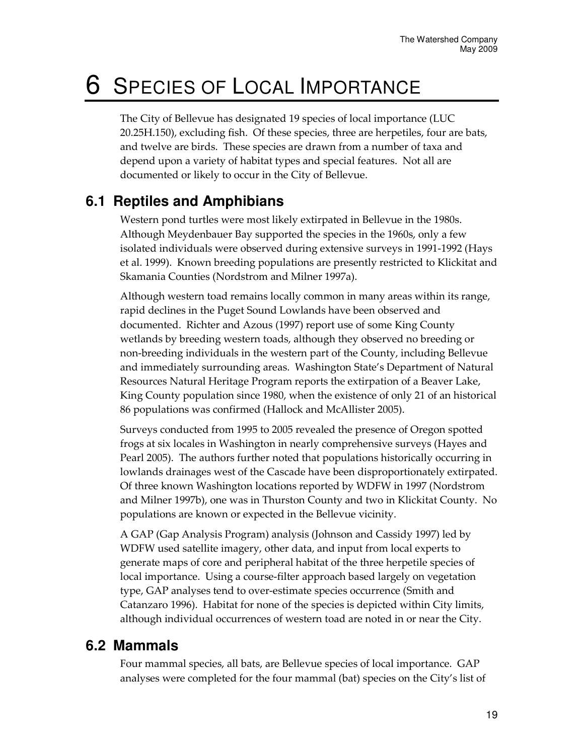# 6 SPECIES OF LOCAL IMPORTANCE

The City of Bellevue has designated 19 species of local importance (LUC 20.25H.150), excluding fish. Of these species, three are herpetiles, four are bats, and twelve are birds. These species are drawn from a number of taxa and depend upon a variety of habitat types and special features. Not all are documented or likely to occur in the City of Bellevue.

## **6.1 Reptiles and Amphibians**

Western pond turtles were most likely extirpated in Bellevue in the 1980s. Although Meydenbauer Bay supported the species in the 1960s, only a few isolated individuals were observed during extensive surveys in 1991-1992 (Hays et al. 1999). Known breeding populations are presently restricted to Klickitat and Skamania Counties (Nordstrom and Milner 1997a).

Although western toad remains locally common in many areas within its range, rapid declines in the Puget Sound Lowlands have been observed and documented. Richter and Azous (1997) report use of some King County wetlands by breeding western toads, although they observed no breeding or non-breeding individuals in the western part of the County, including Bellevue and immediately surrounding areas. Washington State's Department of Natural Resources Natural Heritage Program reports the extirpation of a Beaver Lake, King County population since 1980, when the existence of only 21 of an historical 86 populations was confirmed (Hallock and McAllister 2005).

Surveys conducted from 1995 to 2005 revealed the presence of Oregon spotted frogs at six locales in Washington in nearly comprehensive surveys (Hayes and Pearl 2005). The authors further noted that populations historically occurring in lowlands drainages west of the Cascade have been disproportionately extirpated. Of three known Washington locations reported by WDFW in 1997 (Nordstrom and Milner 1997b), one was in Thurston County and two in Klickitat County. No populations are known or expected in the Bellevue vicinity.

A GAP (Gap Analysis Program) analysis (Johnson and Cassidy 1997) led by WDFW used satellite imagery, other data, and input from local experts to generate maps of core and peripheral habitat of the three herpetile species of local importance. Using a course-filter approach based largely on vegetation type, GAP analyses tend to over-estimate species occurrence (Smith and Catanzaro 1996). Habitat for none of the species is depicted within City limits, although individual occurrences of western toad are noted in or near the City.

### **6.2 Mammals**

Four mammal species, all bats, are Bellevue species of local importance. GAP analyses were completed for the four mammal (bat) species on the City's list of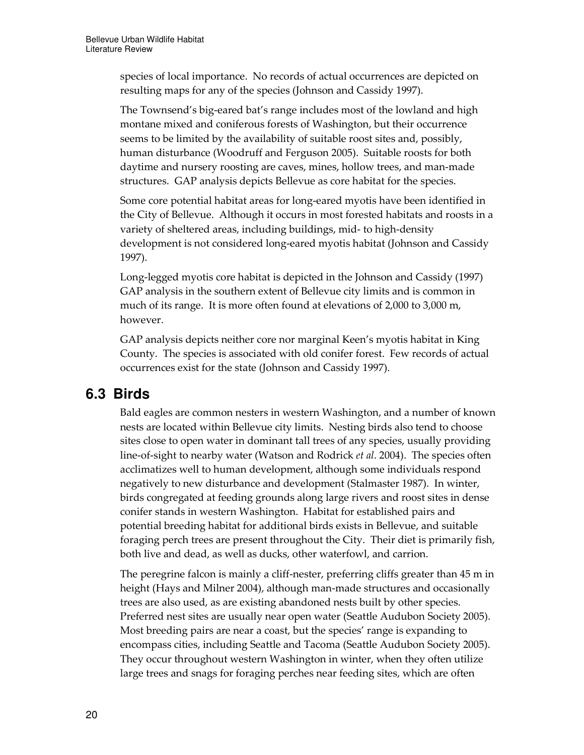species of local importance. No records of actual occurrences are depicted on resulting maps for any of the species (Johnson and Cassidy 1997).

The Townsend's big-eared bat's range includes most of the lowland and high montane mixed and coniferous forests of Washington, but their occurrence seems to be limited by the availability of suitable roost sites and, possibly, human disturbance (Woodruff and Ferguson 2005). Suitable roosts for both daytime and nursery roosting are caves, mines, hollow trees, and man-made structures. GAP analysis depicts Bellevue as core habitat for the species.

Some core potential habitat areas for long-eared myotis have been identified in the City of Bellevue. Although it occurs in most forested habitats and roosts in a variety of sheltered areas, including buildings, mid- to high-density development is not considered long-eared myotis habitat (Johnson and Cassidy 1997).

Long-legged myotis core habitat is depicted in the Johnson and Cassidy (1997) GAP analysis in the southern extent of Bellevue city limits and is common in much of its range. It is more often found at elevations of 2,000 to 3,000 m, however.

GAP analysis depicts neither core nor marginal Keen's myotis habitat in King County. The species is associated with old conifer forest. Few records of actual occurrences exist for the state (Johnson and Cassidy 1997).

## **6.3 Birds**

Bald eagles are common nesters in western Washington, and a number of known nests are located within Bellevue city limits. Nesting birds also tend to choose sites close to open water in dominant tall trees of any species, usually providing line-of-sight to nearby water (Watson and Rodrick et al. 2004). The species often acclimatizes well to human development, although some individuals respond negatively to new disturbance and development (Stalmaster 1987). In winter, birds congregated at feeding grounds along large rivers and roost sites in dense conifer stands in western Washington. Habitat for established pairs and potential breeding habitat for additional birds exists in Bellevue, and suitable foraging perch trees are present throughout the City. Their diet is primarily fish, both live and dead, as well as ducks, other waterfowl, and carrion.

The peregrine falcon is mainly a cliff-nester, preferring cliffs greater than 45 m in height (Hays and Milner 2004), although man-made structures and occasionally trees are also used, as are existing abandoned nests built by other species. Preferred nest sites are usually near open water (Seattle Audubon Society 2005). Most breeding pairs are near a coast, but the species' range is expanding to encompass cities, including Seattle and Tacoma (Seattle Audubon Society 2005). They occur throughout western Washington in winter, when they often utilize large trees and snags for foraging perches near feeding sites, which are often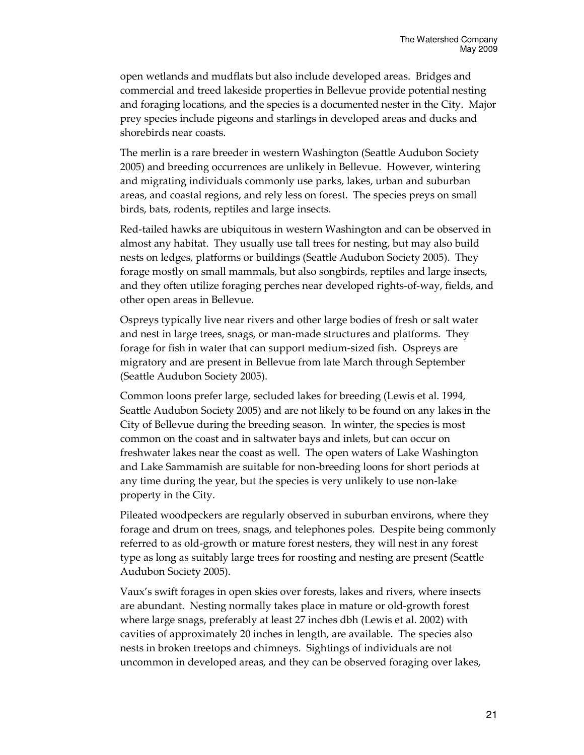open wetlands and mudflats but also include developed areas. Bridges and commercial and treed lakeside properties in Bellevue provide potential nesting and foraging locations, and the species is a documented nester in the City. Major prey species include pigeons and starlings in developed areas and ducks and shorebirds near coasts.

The merlin is a rare breeder in western Washington (Seattle Audubon Society 2005) and breeding occurrences are unlikely in Bellevue. However, wintering and migrating individuals commonly use parks, lakes, urban and suburban areas, and coastal regions, and rely less on forest. The species preys on small birds, bats, rodents, reptiles and large insects.

Red-tailed hawks are ubiquitous in western Washington and can be observed in almost any habitat. They usually use tall trees for nesting, but may also build nests on ledges, platforms or buildings (Seattle Audubon Society 2005). They forage mostly on small mammals, but also songbirds, reptiles and large insects, and they often utilize foraging perches near developed rights-of-way, fields, and other open areas in Bellevue.

Ospreys typically live near rivers and other large bodies of fresh or salt water and nest in large trees, snags, or man-made structures and platforms. They forage for fish in water that can support medium-sized fish. Ospreys are migratory and are present in Bellevue from late March through September (Seattle Audubon Society 2005).

Common loons prefer large, secluded lakes for breeding (Lewis et al. 1994, Seattle Audubon Society 2005) and are not likely to be found on any lakes in the City of Bellevue during the breeding season. In winter, the species is most common on the coast and in saltwater bays and inlets, but can occur on freshwater lakes near the coast as well. The open waters of Lake Washington and Lake Sammamish are suitable for non-breeding loons for short periods at any time during the year, but the species is very unlikely to use non-lake property in the City.

Pileated woodpeckers are regularly observed in suburban environs, where they forage and drum on trees, snags, and telephones poles. Despite being commonly referred to as old-growth or mature forest nesters, they will nest in any forest type as long as suitably large trees for roosting and nesting are present (Seattle Audubon Society 2005).

Vaux's swift forages in open skies over forests, lakes and rivers, where insects are abundant. Nesting normally takes place in mature or old-growth forest where large snags, preferably at least 27 inches dbh (Lewis et al. 2002) with cavities of approximately 20 inches in length, are available. The species also nests in broken treetops and chimneys. Sightings of individuals are not uncommon in developed areas, and they can be observed foraging over lakes,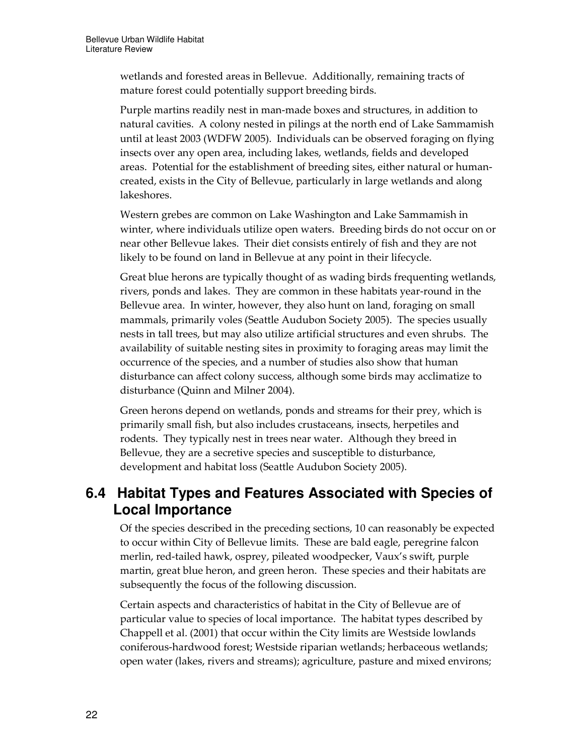wetlands and forested areas in Bellevue. Additionally, remaining tracts of mature forest could potentially support breeding birds.

Purple martins readily nest in man-made boxes and structures, in addition to natural cavities. A colony nested in pilings at the north end of Lake Sammamish until at least 2003 (WDFW 2005). Individuals can be observed foraging on flying insects over any open area, including lakes, wetlands, fields and developed areas. Potential for the establishment of breeding sites, either natural or humancreated, exists in the City of Bellevue, particularly in large wetlands and along lakeshores.

Western grebes are common on Lake Washington and Lake Sammamish in winter, where individuals utilize open waters. Breeding birds do not occur on or near other Bellevue lakes. Their diet consists entirely of fish and they are not likely to be found on land in Bellevue at any point in their lifecycle.

Great blue herons are typically thought of as wading birds frequenting wetlands, rivers, ponds and lakes. They are common in these habitats year-round in the Bellevue area. In winter, however, they also hunt on land, foraging on small mammals, primarily voles (Seattle Audubon Society 2005). The species usually nests in tall trees, but may also utilize artificial structures and even shrubs. The availability of suitable nesting sites in proximity to foraging areas may limit the occurrence of the species, and a number of studies also show that human disturbance can affect colony success, although some birds may acclimatize to disturbance (Quinn and Milner 2004).

Green herons depend on wetlands, ponds and streams for their prey, which is primarily small fish, but also includes crustaceans, insects, herpetiles and rodents. They typically nest in trees near water. Although they breed in Bellevue, they are a secretive species and susceptible to disturbance, development and habitat loss (Seattle Audubon Society 2005).

## **6.4 Habitat Types and Features Associated with Species of Local Importance**

Of the species described in the preceding sections, 10 can reasonably be expected to occur within City of Bellevue limits. These are bald eagle, peregrine falcon merlin, red-tailed hawk, osprey, pileated woodpecker, Vaux's swift, purple martin, great blue heron, and green heron. These species and their habitats are subsequently the focus of the following discussion.

Certain aspects and characteristics of habitat in the City of Bellevue are of particular value to species of local importance. The habitat types described by Chappell et al. (2001) that occur within the City limits are Westside lowlands coniferous-hardwood forest; Westside riparian wetlands; herbaceous wetlands; open water (lakes, rivers and streams); agriculture, pasture and mixed environs;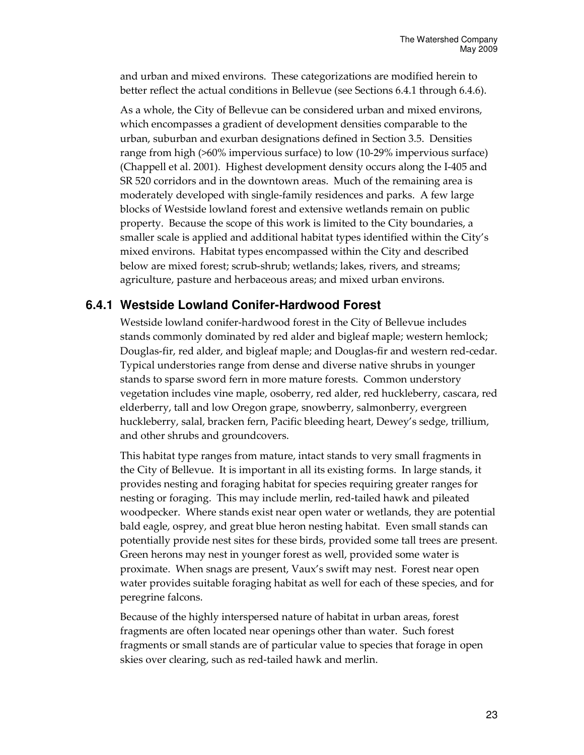and urban and mixed environs. These categorizations are modified herein to better reflect the actual conditions in Bellevue (see Sections 6.4.1 through 6.4.6).

As a whole, the City of Bellevue can be considered urban and mixed environs, which encompasses a gradient of development densities comparable to the urban, suburban and exurban designations defined in Section 3.5. Densities range from high (>60% impervious surface) to low (10-29% impervious surface) (Chappell et al. 2001). Highest development density occurs along the I-405 and SR 520 corridors and in the downtown areas. Much of the remaining area is moderately developed with single-family residences and parks. A few large blocks of Westside lowland forest and extensive wetlands remain on public property. Because the scope of this work is limited to the City boundaries, a smaller scale is applied and additional habitat types identified within the City's mixed environs. Habitat types encompassed within the City and described below are mixed forest; scrub-shrub; wetlands; lakes, rivers, and streams; agriculture, pasture and herbaceous areas; and mixed urban environs.

#### **6.4.1 Westside Lowland Conifer-Hardwood Forest**

Westside lowland conifer-hardwood forest in the City of Bellevue includes stands commonly dominated by red alder and bigleaf maple; western hemlock; Douglas-fir, red alder, and bigleaf maple; and Douglas-fir and western red-cedar. Typical understories range from dense and diverse native shrubs in younger stands to sparse sword fern in more mature forests. Common understory vegetation includes vine maple, osoberry, red alder, red huckleberry, cascara, red elderberry, tall and low Oregon grape, snowberry, salmonberry, evergreen huckleberry, salal, bracken fern, Pacific bleeding heart, Dewey's sedge, trillium, and other shrubs and groundcovers.

This habitat type ranges from mature, intact stands to very small fragments in the City of Bellevue. It is important in all its existing forms. In large stands, it provides nesting and foraging habitat for species requiring greater ranges for nesting or foraging. This may include merlin, red-tailed hawk and pileated woodpecker. Where stands exist near open water or wetlands, they are potential bald eagle, osprey, and great blue heron nesting habitat. Even small stands can potentially provide nest sites for these birds, provided some tall trees are present. Green herons may nest in younger forest as well, provided some water is proximate. When snags are present, Vaux's swift may nest. Forest near open water provides suitable foraging habitat as well for each of these species, and for peregrine falcons.

Because of the highly interspersed nature of habitat in urban areas, forest fragments are often located near openings other than water. Such forest fragments or small stands are of particular value to species that forage in open skies over clearing, such as red-tailed hawk and merlin.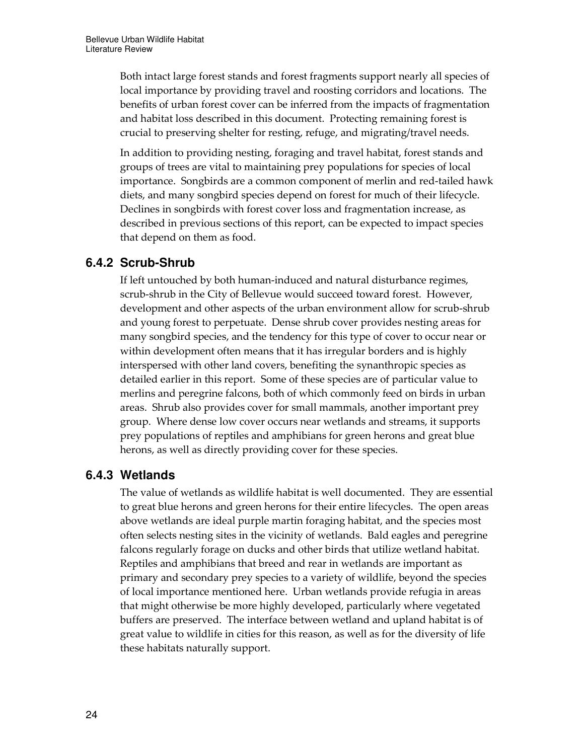Both intact large forest stands and forest fragments support nearly all species of local importance by providing travel and roosting corridors and locations. The benefits of urban forest cover can be inferred from the impacts of fragmentation and habitat loss described in this document. Protecting remaining forest is crucial to preserving shelter for resting, refuge, and migrating/travel needs.

In addition to providing nesting, foraging and travel habitat, forest stands and groups of trees are vital to maintaining prey populations for species of local importance. Songbirds are a common component of merlin and red-tailed hawk diets, and many songbird species depend on forest for much of their lifecycle. Declines in songbirds with forest cover loss and fragmentation increase, as described in previous sections of this report, can be expected to impact species that depend on them as food.

### **6.4.2 Scrub-Shrub**

If left untouched by both human-induced and natural disturbance regimes, scrub-shrub in the City of Bellevue would succeed toward forest. However, development and other aspects of the urban environment allow for scrub-shrub and young forest to perpetuate. Dense shrub cover provides nesting areas for many songbird species, and the tendency for this type of cover to occur near or within development often means that it has irregular borders and is highly interspersed with other land covers, benefiting the synanthropic species as detailed earlier in this report. Some of these species are of particular value to merlins and peregrine falcons, both of which commonly feed on birds in urban areas. Shrub also provides cover for small mammals, another important prey group. Where dense low cover occurs near wetlands and streams, it supports prey populations of reptiles and amphibians for green herons and great blue herons, as well as directly providing cover for these species.

### **6.4.3 Wetlands**

The value of wetlands as wildlife habitat is well documented. They are essential to great blue herons and green herons for their entire lifecycles. The open areas above wetlands are ideal purple martin foraging habitat, and the species most often selects nesting sites in the vicinity of wetlands. Bald eagles and peregrine falcons regularly forage on ducks and other birds that utilize wetland habitat. Reptiles and amphibians that breed and rear in wetlands are important as primary and secondary prey species to a variety of wildlife, beyond the species of local importance mentioned here. Urban wetlands provide refugia in areas that might otherwise be more highly developed, particularly where vegetated buffers are preserved. The interface between wetland and upland habitat is of great value to wildlife in cities for this reason, as well as for the diversity of life these habitats naturally support.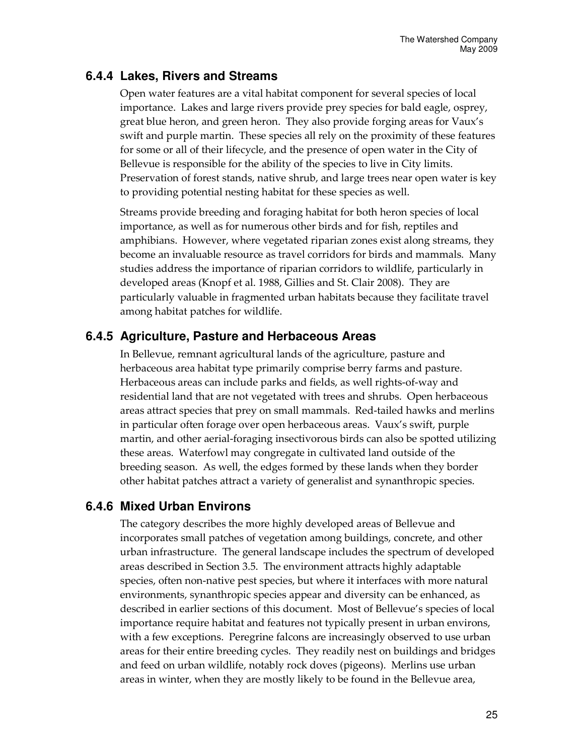### **6.4.4 Lakes, Rivers and Streams**

Open water features are a vital habitat component for several species of local importance. Lakes and large rivers provide prey species for bald eagle, osprey, great blue heron, and green heron. They also provide forging areas for Vaux's swift and purple martin. These species all rely on the proximity of these features for some or all of their lifecycle, and the presence of open water in the City of Bellevue is responsible for the ability of the species to live in City limits. Preservation of forest stands, native shrub, and large trees near open water is key to providing potential nesting habitat for these species as well.

Streams provide breeding and foraging habitat for both heron species of local importance, as well as for numerous other birds and for fish, reptiles and amphibians. However, where vegetated riparian zones exist along streams, they become an invaluable resource as travel corridors for birds and mammals. Many studies address the importance of riparian corridors to wildlife, particularly in developed areas (Knopf et al. 1988, Gillies and St. Clair 2008). They are particularly valuable in fragmented urban habitats because they facilitate travel among habitat patches for wildlife.

### **6.4.5 Agriculture, Pasture and Herbaceous Areas**

In Bellevue, remnant agricultural lands of the agriculture, pasture and herbaceous area habitat type primarily comprise berry farms and pasture. Herbaceous areas can include parks and fields, as well rights-of-way and residential land that are not vegetated with trees and shrubs. Open herbaceous areas attract species that prey on small mammals. Red-tailed hawks and merlins in particular often forage over open herbaceous areas. Vaux's swift, purple martin, and other aerial-foraging insectivorous birds can also be spotted utilizing these areas. Waterfowl may congregate in cultivated land outside of the breeding season. As well, the edges formed by these lands when they border other habitat patches attract a variety of generalist and synanthropic species.

#### **6.4.6 Mixed Urban Environs**

The category describes the more highly developed areas of Bellevue and incorporates small patches of vegetation among buildings, concrete, and other urban infrastructure. The general landscape includes the spectrum of developed areas described in Section 3.5. The environment attracts highly adaptable species, often non-native pest species, but where it interfaces with more natural environments, synanthropic species appear and diversity can be enhanced, as described in earlier sections of this document. Most of Bellevue's species of local importance require habitat and features not typically present in urban environs, with a few exceptions. Peregrine falcons are increasingly observed to use urban areas for their entire breeding cycles. They readily nest on buildings and bridges and feed on urban wildlife, notably rock doves (pigeons). Merlins use urban areas in winter, when they are mostly likely to be found in the Bellevue area,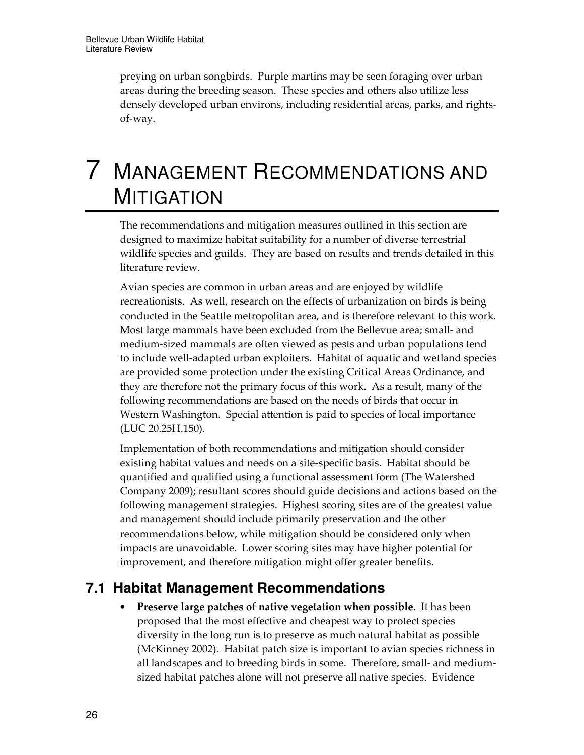preying on urban songbirds. Purple martins may be seen foraging over urban areas during the breeding season. These species and others also utilize less densely developed urban environs, including residential areas, parks, and rightsof-way.

# 7 MANAGEMENT RECOMMENDATIONS AND **MITIGATION**

The recommendations and mitigation measures outlined in this section are designed to maximize habitat suitability for a number of diverse terrestrial wildlife species and guilds. They are based on results and trends detailed in this literature review.

Avian species are common in urban areas and are enjoyed by wildlife recreationists. As well, research on the effects of urbanization on birds is being conducted in the Seattle metropolitan area, and is therefore relevant to this work. Most large mammals have been excluded from the Bellevue area; small- and medium-sized mammals are often viewed as pests and urban populations tend to include well-adapted urban exploiters. Habitat of aquatic and wetland species are provided some protection under the existing Critical Areas Ordinance, and they are therefore not the primary focus of this work. As a result, many of the following recommendations are based on the needs of birds that occur in Western Washington. Special attention is paid to species of local importance (LUC 20.25H.150).

Implementation of both recommendations and mitigation should consider existing habitat values and needs on a site-specific basis. Habitat should be quantified and qualified using a functional assessment form (The Watershed Company 2009); resultant scores should guide decisions and actions based on the following management strategies. Highest scoring sites are of the greatest value and management should include primarily preservation and the other recommendations below, while mitigation should be considered only when impacts are unavoidable. Lower scoring sites may have higher potential for improvement, and therefore mitigation might offer greater benefits.

## **7.1 Habitat Management Recommendations**

• Preserve large patches of native vegetation when possible. It has been proposed that the most effective and cheapest way to protect species diversity in the long run is to preserve as much natural habitat as possible (McKinney 2002). Habitat patch size is important to avian species richness in all landscapes and to breeding birds in some. Therefore, small- and mediumsized habitat patches alone will not preserve all native species. Evidence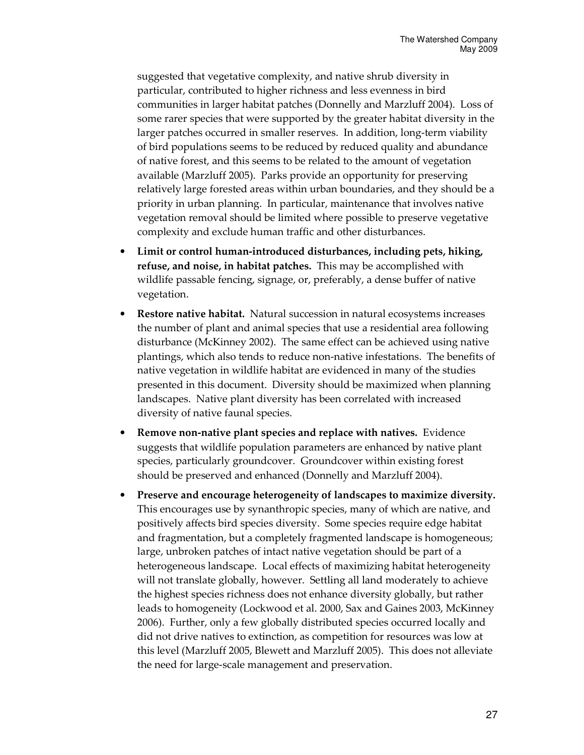suggested that vegetative complexity, and native shrub diversity in particular, contributed to higher richness and less evenness in bird communities in larger habitat patches (Donnelly and Marzluff 2004). Loss of some rarer species that were supported by the greater habitat diversity in the larger patches occurred in smaller reserves. In addition, long-term viability of bird populations seems to be reduced by reduced quality and abundance of native forest, and this seems to be related to the amount of vegetation available (Marzluff 2005). Parks provide an opportunity for preserving relatively large forested areas within urban boundaries, and they should be a priority in urban planning. In particular, maintenance that involves native vegetation removal should be limited where possible to preserve vegetative complexity and exclude human traffic and other disturbances.

- Limit or control human-introduced disturbances, including pets, hiking, refuse, and noise, in habitat patches. This may be accomplished with wildlife passable fencing, signage, or, preferably, a dense buffer of native vegetation.
- Restore native habitat. Natural succession in natural ecosystems increases the number of plant and animal species that use a residential area following disturbance (McKinney 2002). The same effect can be achieved using native plantings, which also tends to reduce non-native infestations. The benefits of native vegetation in wildlife habitat are evidenced in many of the studies presented in this document. Diversity should be maximized when planning landscapes. Native plant diversity has been correlated with increased diversity of native faunal species.
- Remove non-native plant species and replace with natives. Evidence suggests that wildlife population parameters are enhanced by native plant species, particularly groundcover. Groundcover within existing forest should be preserved and enhanced (Donnelly and Marzluff 2004).
- Preserve and encourage heterogeneity of landscapes to maximize diversity. This encourages use by synanthropic species, many of which are native, and positively affects bird species diversity. Some species require edge habitat and fragmentation, but a completely fragmented landscape is homogeneous; large, unbroken patches of intact native vegetation should be part of a heterogeneous landscape. Local effects of maximizing habitat heterogeneity will not translate globally, however. Settling all land moderately to achieve the highest species richness does not enhance diversity globally, but rather leads to homogeneity (Lockwood et al. 2000, Sax and Gaines 2003, McKinney 2006). Further, only a few globally distributed species occurred locally and did not drive natives to extinction, as competition for resources was low at this level (Marzluff 2005, Blewett and Marzluff 2005). This does not alleviate the need for large-scale management and preservation.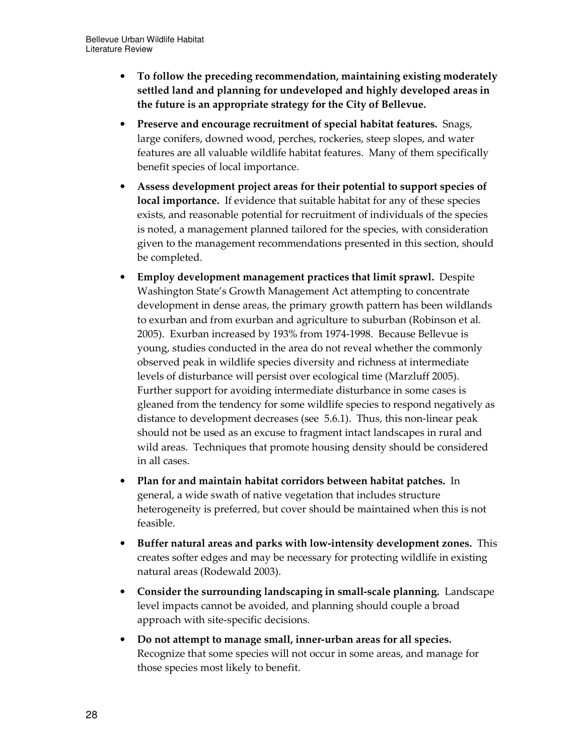- To follow the preceding recommendation, maintaining existing moderately settled land and planning for undeveloped and highly developed areas in the future is an appropriate strategy for the City of Bellevue.
- Preserve and encourage recruitment of special habitat features. Snags, large conifers, downed wood, perches, rockeries, steep slopes, and water features are all valuable wildlife habitat features. Many of them specifically benefit species of local importance.
- Assess development project areas for their potential to support species of local importance. If evidence that suitable habitat for any of these species exists, and reasonable potential for recruitment of individuals of the species is noted, a management planned tailored for the species, with consideration given to the management recommendations presented in this section, should be completed.
- Employ development management practices that limit sprawl. Despite Washington State's Growth Management Act attempting to concentrate development in dense areas, the primary growth pattern has been wildlands to exurban and from exurban and agriculture to suburban (Robinson et al. 2005). Exurban increased by 193% from 1974-1998. Because Bellevue is young, studies conducted in the area do not reveal whether the commonly observed peak in wildlife species diversity and richness at intermediate levels of disturbance will persist over ecological time (Marzluff 2005). Further support for avoiding intermediate disturbance in some cases is gleaned from the tendency for some wildlife species to respond negatively as distance to development decreases (see 5.6.1). Thus, this non-linear peak should not be used as an excuse to fragment intact landscapes in rural and wild areas. Techniques that promote housing density should be considered in all cases.
- Plan for and maintain habitat corridors between habitat patches. In general, a wide swath of native vegetation that includes structure heterogeneity is preferred, but cover should be maintained when this is not feasible.
- Buffer natural areas and parks with low-intensity development zones. This creates softer edges and may be necessary for protecting wildlife in existing natural areas (Rodewald 2003).
- Consider the surrounding landscaping in small-scale planning. Landscape level impacts cannot be avoided, and planning should couple a broad approach with site-specific decisions.
- Do not attempt to manage small, inner-urban areas for all species. Recognize that some species will not occur in some areas, and manage for those species most likely to benefit.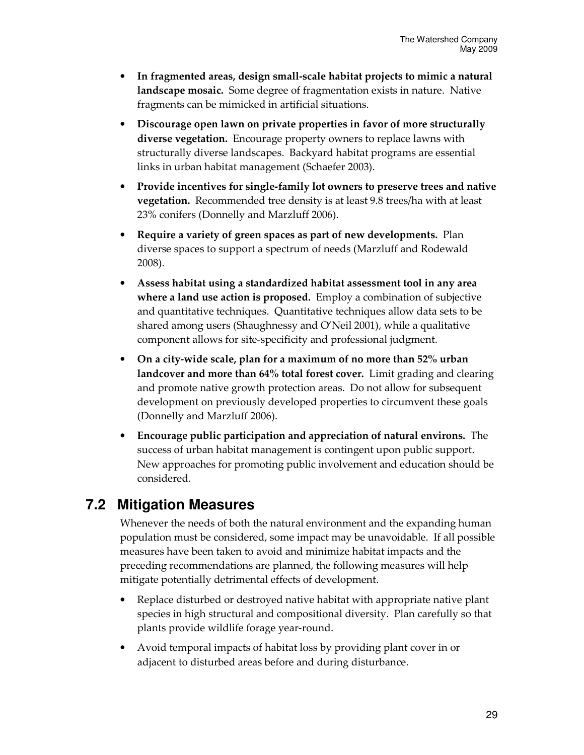- In fragmented areas, design small-scale habitat projects to mimic a natural landscape mosaic. Some degree of fragmentation exists in nature. Native fragments can be mimicked in artificial situations.
- Discourage open lawn on private properties in favor of more structurally diverse vegetation. Encourage property owners to replace lawns with structurally diverse landscapes. Backyard habitat programs are essential links in urban habitat management (Schaefer 2003).
- Provide incentives for single-family lot owners to preserve trees and native vegetation. Recommended tree density is at least 9.8 trees/ha with at least 23% conifers (Donnelly and Marzluff 2006).
- Require a variety of green spaces as part of new developments. Plan diverse spaces to support a spectrum of needs (Marzluff and Rodewald 2008).
- Assess habitat using a standardized habitat assessment tool in any area where a land use action is proposed. Employ a combination of subjective and quantitative techniques. Quantitative techniques allow data sets to be shared among users (Shaughnessy and O'Neil 2001), while a qualitative component allows for site-specificity and professional judgment.
- On a city-wide scale, plan for a maximum of no more than 52% urban landcover and more than 64% total forest cover. Limit grading and clearing and promote native growth protection areas. Do not allow for subsequent development on previously developed properties to circumvent these goals (Donnelly and Marzluff 2006).
- Encourage public participation and appreciation of natural environs. The success of urban habitat management is contingent upon public support. New approaches for promoting public involvement and education should be considered.

# **7.2 Mitigation Measures**

Whenever the needs of both the natural environment and the expanding human population must be considered, some impact may be unavoidable. If all possible measures have been taken to avoid and minimize habitat impacts and the preceding recommendations are planned, the following measures will help mitigate potentially detrimental effects of development.

- Replace disturbed or destroyed native habitat with appropriate native plant species in high structural and compositional diversity. Plan carefully so that plants provide wildlife forage year-round.
- Avoid temporal impacts of habitat loss by providing plant cover in or adjacent to disturbed areas before and during disturbance.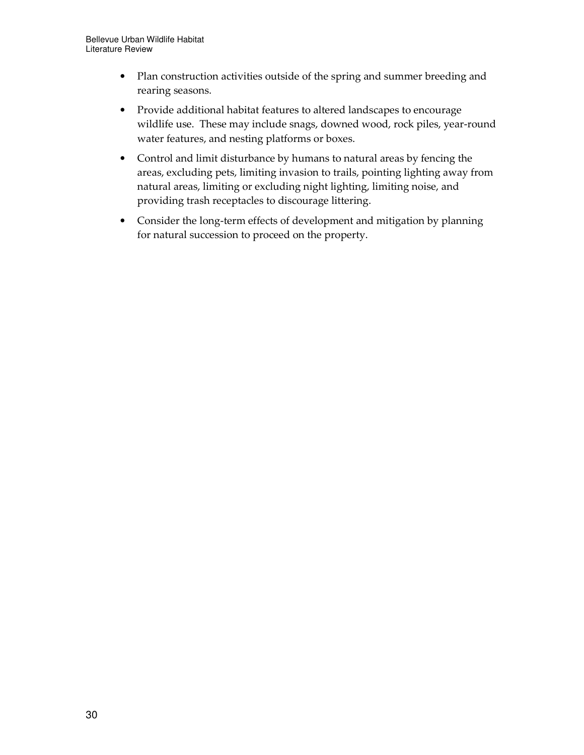- Plan construction activities outside of the spring and summer breeding and rearing seasons.
- Provide additional habitat features to altered landscapes to encourage wildlife use. These may include snags, downed wood, rock piles, year-round water features, and nesting platforms or boxes.
- Control and limit disturbance by humans to natural areas by fencing the areas, excluding pets, limiting invasion to trails, pointing lighting away from natural areas, limiting or excluding night lighting, limiting noise, and providing trash receptacles to discourage littering.
- Consider the long-term effects of development and mitigation by planning for natural succession to proceed on the property.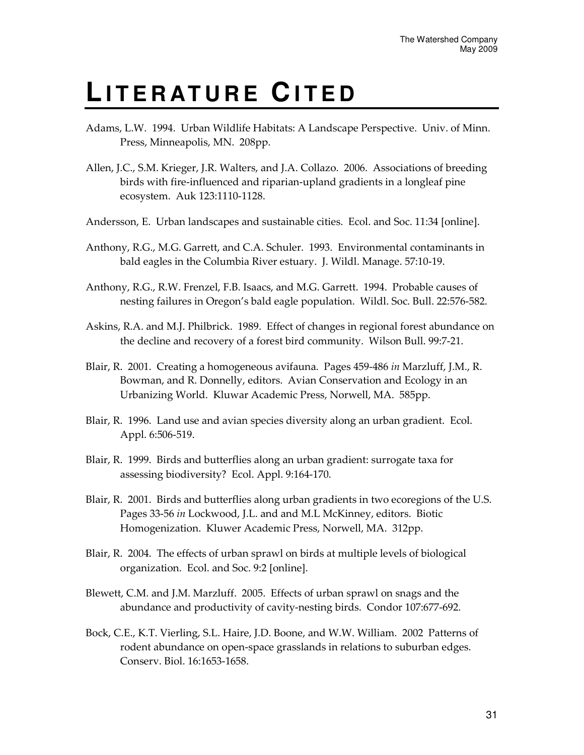## **LI T E R AT U R E C I T E D**

- Adams, L.W. 1994. Urban Wildlife Habitats: A Landscape Perspective. Univ. of Minn. Press, Minneapolis, MN. 208pp.
- Allen, J.C., S.M. Krieger, J.R. Walters, and J.A. Collazo. 2006. Associations of breeding birds with fire-influenced and riparian-upland gradients in a longleaf pine ecosystem. Auk 123:1110-1128.
- Andersson, E. Urban landscapes and sustainable cities. Ecol. and Soc. 11:34 [online].
- Anthony, R.G., M.G. Garrett, and C.A. Schuler. 1993. Environmental contaminants in bald eagles in the Columbia River estuary. J. Wildl. Manage. 57:10-19.
- Anthony, R.G., R.W. Frenzel, F.B. Isaacs, and M.G. Garrett. 1994. Probable causes of nesting failures in Oregon's bald eagle population. Wildl. Soc. Bull. 22:576-582.
- Askins, R.A. and M.J. Philbrick. 1989. Effect of changes in regional forest abundance on the decline and recovery of a forest bird community. Wilson Bull. 99:7-21.
- Blair, R. 2001. Creating a homogeneous avifauna. Pages 459-486 in Marzluff, J.M., R. Bowman, and R. Donnelly, editors. Avian Conservation and Ecology in an Urbanizing World. Kluwar Academic Press, Norwell, MA. 585pp.
- Blair, R. 1996. Land use and avian species diversity along an urban gradient. Ecol. Appl. 6:506-519.
- Blair, R. 1999. Birds and butterflies along an urban gradient: surrogate taxa for assessing biodiversity? Ecol. Appl. 9:164-170.
- Blair, R. 2001. Birds and butterflies along urban gradients in two ecoregions of the U.S. Pages 33-56 in Lockwood, J.L. and and M.L McKinney, editors. Biotic Homogenization. Kluwer Academic Press, Norwell, MA. 312pp.
- Blair, R. 2004. The effects of urban sprawl on birds at multiple levels of biological organization. Ecol. and Soc. 9:2 [online].
- Blewett, C.M. and J.M. Marzluff. 2005. Effects of urban sprawl on snags and the abundance and productivity of cavity-nesting birds. Condor 107:677-692.
- Bock, C.E., K.T. Vierling, S.L. Haire, J.D. Boone, and W.W. William. 2002 Patterns of rodent abundance on open-space grasslands in relations to suburban edges. Conserv. Biol. 16:1653-1658.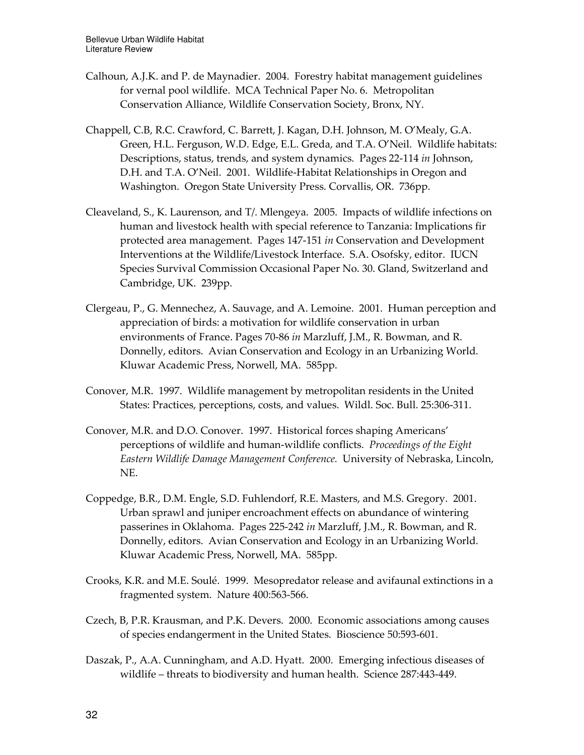- Calhoun, A.J.K. and P. de Maynadier. 2004. Forestry habitat management guidelines for vernal pool wildlife. MCA Technical Paper No. 6. Metropolitan Conservation Alliance, Wildlife Conservation Society, Bronx, NY.
- Chappell, C.B, R.C. Crawford, C. Barrett, J. Kagan, D.H. Johnson, M. O'Mealy, G.A. Green, H.L. Ferguson, W.D. Edge, E.L. Greda, and T.A. O'Neil. Wildlife habitats: Descriptions, status, trends, and system dynamics. Pages 22-114 in Johnson, D.H. and T.A. O'Neil. 2001. Wildlife-Habitat Relationships in Oregon and Washington. Oregon State University Press. Corvallis, OR. 736pp.
- Cleaveland, S., K. Laurenson, and T/. Mlengeya. 2005. Impacts of wildlife infections on human and livestock health with special reference to Tanzania: Implications fir protected area management. Pages 147-151 in Conservation and Development Interventions at the Wildlife/Livestock Interface. S.A. Osofsky, editor. IUCN Species Survival Commission Occasional Paper No. 30. Gland, Switzerland and Cambridge, UK. 239pp.
- Clergeau, P., G. Mennechez, A. Sauvage, and A. Lemoine. 2001. Human perception and appreciation of birds: a motivation for wildlife conservation in urban environments of France. Pages 70-86 in Marzluff, J.M., R. Bowman, and R. Donnelly, editors. Avian Conservation and Ecology in an Urbanizing World. Kluwar Academic Press, Norwell, MA. 585pp.
- Conover, M.R. 1997. Wildlife management by metropolitan residents in the United States: Practices, perceptions, costs, and values. Wildl. Soc. Bull. 25:306-311.
- Conover, M.R. and D.O. Conover. 1997. Historical forces shaping Americans' perceptions of wildlife and human-wildlife conflicts. Proceedings of the Eight Eastern Wildlife Damage Management Conference. University of Nebraska, Lincoln, NE.
- Coppedge, B.R., D.M. Engle, S.D. Fuhlendorf, R.E. Masters, and M.S. Gregory. 2001. Urban sprawl and juniper encroachment effects on abundance of wintering passerines in Oklahoma. Pages 225-242 in Marzluff, J.M., R. Bowman, and R. Donnelly, editors. Avian Conservation and Ecology in an Urbanizing World. Kluwar Academic Press, Norwell, MA. 585pp.
- Crooks, K.R. and M.E. Soulé. 1999. Mesopredator release and avifaunal extinctions in a fragmented system. Nature 400:563-566.
- Czech, B, P.R. Krausman, and P.K. Devers. 2000. Economic associations among causes of species endangerment in the United States. Bioscience 50:593-601.
- Daszak, P., A.A. Cunningham, and A.D. Hyatt. 2000. Emerging infectious diseases of wildlife – threats to biodiversity and human health. Science 287:443-449.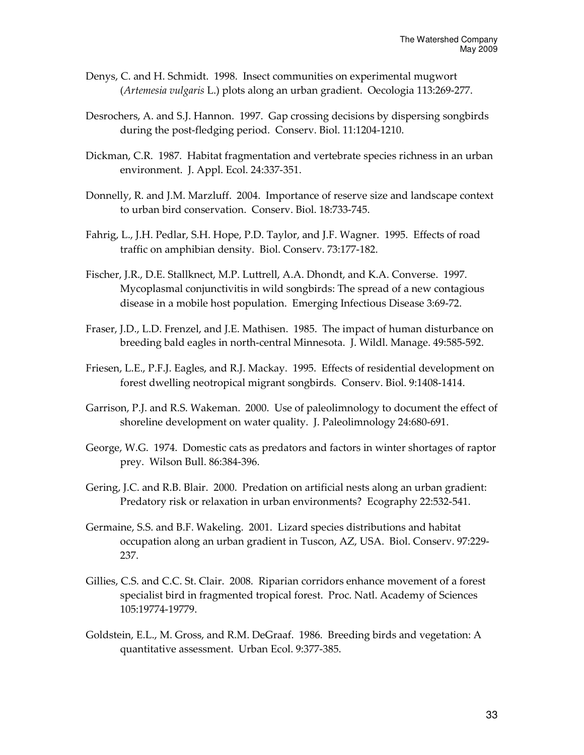- Denys, C. and H. Schmidt. 1998. Insect communities on experimental mugwort (Artemesia vulgaris L.) plots along an urban gradient. Oecologia 113:269-277.
- Desrochers, A. and S.J. Hannon. 1997. Gap crossing decisions by dispersing songbirds during the post-fledging period. Conserv. Biol. 11:1204-1210.
- Dickman, C.R. 1987. Habitat fragmentation and vertebrate species richness in an urban environment. J. Appl. Ecol. 24:337-351.
- Donnelly, R. and J.M. Marzluff. 2004. Importance of reserve size and landscape context to urban bird conservation. Conserv. Biol. 18:733-745.
- Fahrig, L., J.H. Pedlar, S.H. Hope, P.D. Taylor, and J.F. Wagner. 1995. Effects of road traffic on amphibian density. Biol. Conserv. 73:177-182.
- Fischer, J.R., D.E. Stallknect, M.P. Luttrell, A.A. Dhondt, and K.A. Converse. 1997. Mycoplasmal conjunctivitis in wild songbirds: The spread of a new contagious disease in a mobile host population. Emerging Infectious Disease 3:69-72.
- Fraser, J.D., L.D. Frenzel, and J.E. Mathisen. 1985. The impact of human disturbance on breeding bald eagles in north-central Minnesota. J. Wildl. Manage. 49:585-592.
- Friesen, L.E., P.F.J. Eagles, and R.J. Mackay. 1995. Effects of residential development on forest dwelling neotropical migrant songbirds. Conserv. Biol. 9:1408-1414.
- Garrison, P.J. and R.S. Wakeman. 2000. Use of paleolimnology to document the effect of shoreline development on water quality. J. Paleolimnology 24:680-691.
- George, W.G. 1974. Domestic cats as predators and factors in winter shortages of raptor prey. Wilson Bull. 86:384-396.
- Gering, J.C. and R.B. Blair. 2000. Predation on artificial nests along an urban gradient: Predatory risk or relaxation in urban environments? Ecography 22:532-541.
- Germaine, S.S. and B.F. Wakeling. 2001. Lizard species distributions and habitat occupation along an urban gradient in Tuscon, AZ, USA. Biol. Conserv. 97:229- 237.
- Gillies, C.S. and C.C. St. Clair. 2008. Riparian corridors enhance movement of a forest specialist bird in fragmented tropical forest. Proc. Natl. Academy of Sciences 105:19774-19779.
- Goldstein, E.L., M. Gross, and R.M. DeGraaf. 1986. Breeding birds and vegetation: A quantitative assessment. Urban Ecol. 9:377-385.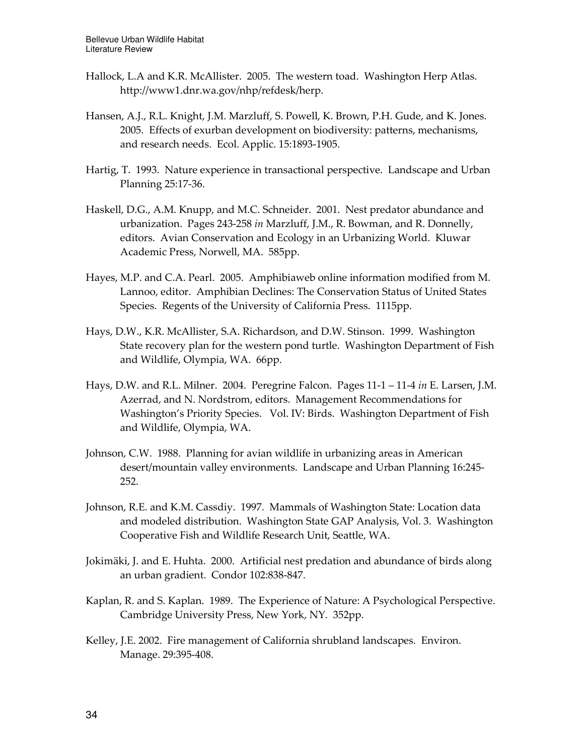- Hallock, L.A and K.R. McAllister. 2005. The western toad. Washington Herp Atlas. http://www1.dnr.wa.gov/nhp/refdesk/herp.
- Hansen, A.J., R.L. Knight, J.M. Marzluff, S. Powell, K. Brown, P.H. Gude, and K. Jones. 2005. Effects of exurban development on biodiversity: patterns, mechanisms, and research needs. Ecol. Applic. 15:1893-1905.
- Hartig, T. 1993. Nature experience in transactional perspective. Landscape and Urban Planning 25:17-36.
- Haskell, D.G., A.M. Knupp, and M.C. Schneider. 2001. Nest predator abundance and urbanization. Pages 243-258 in Marzluff, J.M., R. Bowman, and R. Donnelly, editors. Avian Conservation and Ecology in an Urbanizing World. Kluwar Academic Press, Norwell, MA. 585pp.
- Hayes, M.P. and C.A. Pearl. 2005. Amphibiaweb online information modified from M. Lannoo, editor. Amphibian Declines: The Conservation Status of United States Species. Regents of the University of California Press. 1115pp.
- Hays, D.W., K.R. McAllister, S.A. Richardson, and D.W. Stinson. 1999. Washington State recovery plan for the western pond turtle. Washington Department of Fish and Wildlife, Olympia, WA. 66pp.
- Hays, D.W. and R.L. Milner. 2004. Peregrine Falcon. Pages  $11-1-11-4$  in E. Larsen, J.M. Azerrad, and N. Nordstrom, editors. Management Recommendations for Washington's Priority Species. Vol. IV: Birds. Washington Department of Fish and Wildlife, Olympia, WA.
- Johnson, C.W. 1988. Planning for avian wildlife in urbanizing areas in American desert/mountain valley environments. Landscape and Urban Planning 16:245- 252.
- Johnson, R.E. and K.M. Cassdiy. 1997. Mammals of Washington State: Location data and modeled distribution. Washington State GAP Analysis, Vol. 3. Washington Cooperative Fish and Wildlife Research Unit, Seattle, WA.
- Jokimäki, J. and E. Huhta. 2000. Artificial nest predation and abundance of birds along an urban gradient. Condor 102:838-847.
- Kaplan, R. and S. Kaplan. 1989. The Experience of Nature: A Psychological Perspective. Cambridge University Press, New York, NY. 352pp.
- Kelley, J.E. 2002. Fire management of California shrubland landscapes. Environ. Manage. 29:395-408.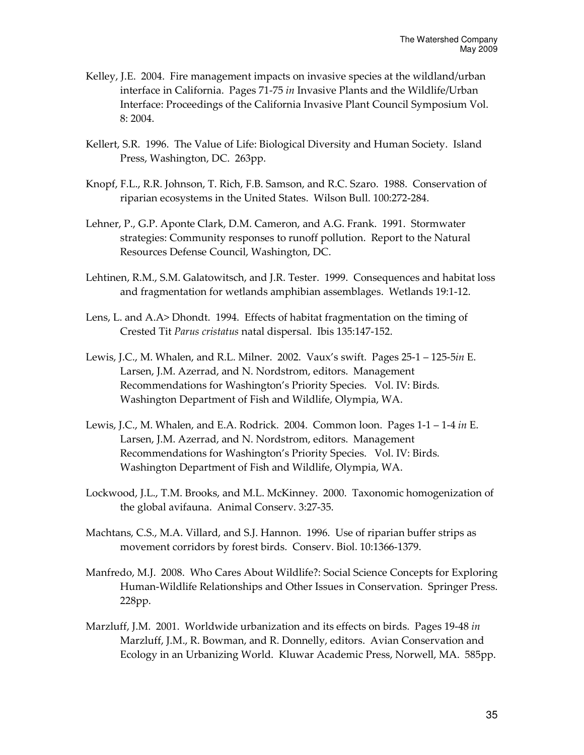- Kelley, J.E. 2004. Fire management impacts on invasive species at the wildland/urban interface in California. Pages 71-75 in Invasive Plants and the Wildlife/Urban Interface: Proceedings of the California Invasive Plant Council Symposium Vol. 8: 2004.
- Kellert, S.R. 1996. The Value of Life: Biological Diversity and Human Society. Island Press, Washington, DC. 263pp.
- Knopf, F.L., R.R. Johnson, T. Rich, F.B. Samson, and R.C. Szaro. 1988. Conservation of riparian ecosystems in the United States. Wilson Bull. 100:272-284.
- Lehner, P., G.P. Aponte Clark, D.M. Cameron, and A.G. Frank. 1991. Stormwater strategies: Community responses to runoff pollution. Report to the Natural Resources Defense Council, Washington, DC.
- Lehtinen, R.M., S.M. Galatowitsch, and J.R. Tester. 1999. Consequences and habitat loss and fragmentation for wetlands amphibian assemblages. Wetlands 19:1-12.
- Lens, L. and A.A> Dhondt. 1994. Effects of habitat fragmentation on the timing of Crested Tit Parus cristatus natal dispersal. Ibis 135:147-152.
- Lewis, J.C., M. Whalen, and R.L. Milner. 2002. Vaux's swift. Pages 25-1 125-5in E. Larsen, J.M. Azerrad, and N. Nordstrom, editors. Management Recommendations for Washington's Priority Species. Vol. IV: Birds. Washington Department of Fish and Wildlife, Olympia, WA.
- Lewis, J.C., M. Whalen, and E.A. Rodrick. 2004. Common loon. Pages  $1-1-1-4$  in E. Larsen, J.M. Azerrad, and N. Nordstrom, editors. Management Recommendations for Washington's Priority Species. Vol. IV: Birds. Washington Department of Fish and Wildlife, Olympia, WA.
- Lockwood, J.L., T.M. Brooks, and M.L. McKinney. 2000. Taxonomic homogenization of the global avifauna. Animal Conserv. 3:27-35.
- Machtans, C.S., M.A. Villard, and S.J. Hannon. 1996. Use of riparian buffer strips as movement corridors by forest birds. Conserv. Biol. 10:1366-1379.
- Manfredo, M.J. 2008. Who Cares About Wildlife?: Social Science Concepts for Exploring Human-Wildlife Relationships and Other Issues in Conservation. Springer Press. 228pp.
- Marzluff, J.M. 2001. Worldwide urbanization and its effects on birds. Pages 19-48 in Marzluff, J.M., R. Bowman, and R. Donnelly, editors. Avian Conservation and Ecology in an Urbanizing World. Kluwar Academic Press, Norwell, MA. 585pp.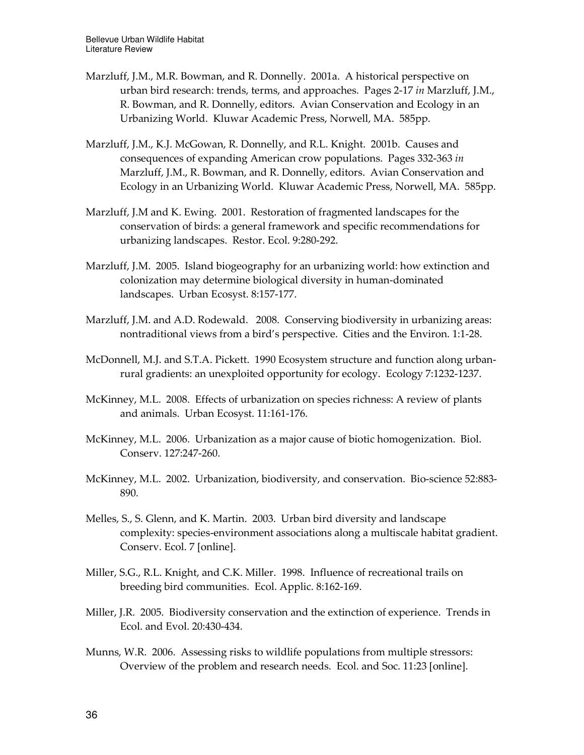- Marzluff, J.M., M.R. Bowman, and R. Donnelly. 2001a. A historical perspective on urban bird research: trends, terms, and approaches. Pages 2-17 in Marzluff, J.M., R. Bowman, and R. Donnelly, editors. Avian Conservation and Ecology in an Urbanizing World. Kluwar Academic Press, Norwell, MA. 585pp.
- Marzluff, J.M., K.J. McGowan, R. Donnelly, and R.L. Knight. 2001b. Causes and consequences of expanding American crow populations. Pages 332-363 in Marzluff, J.M., R. Bowman, and R. Donnelly, editors. Avian Conservation and Ecology in an Urbanizing World. Kluwar Academic Press, Norwell, MA. 585pp.
- Marzluff, J.M and K. Ewing. 2001. Restoration of fragmented landscapes for the conservation of birds: a general framework and specific recommendations for urbanizing landscapes. Restor. Ecol. 9:280-292.
- Marzluff, J.M. 2005. Island biogeography for an urbanizing world: how extinction and colonization may determine biological diversity in human-dominated landscapes. Urban Ecosyst. 8:157-177.
- Marzluff, J.M. and A.D. Rodewald. 2008. Conserving biodiversity in urbanizing areas: nontraditional views from a bird's perspective. Cities and the Environ. 1:1-28.
- McDonnell, M.J. and S.T.A. Pickett. 1990 Ecosystem structure and function along urbanrural gradients: an unexploited opportunity for ecology. Ecology 7:1232-1237.
- McKinney, M.L. 2008. Effects of urbanization on species richness: A review of plants and animals. Urban Ecosyst. 11:161-176.
- McKinney, M.L. 2006. Urbanization as a major cause of biotic homogenization. Biol. Conserv. 127:247-260.
- McKinney, M.L. 2002. Urbanization, biodiversity, and conservation. Bio-science 52:883- 890.
- Melles, S., S. Glenn, and K. Martin. 2003. Urban bird diversity and landscape complexity: species-environment associations along a multiscale habitat gradient. Conserv. Ecol. 7 [online].
- Miller, S.G., R.L. Knight, and C.K. Miller. 1998. Influence of recreational trails on breeding bird communities. Ecol. Applic. 8:162-169.
- Miller, J.R. 2005. Biodiversity conservation and the extinction of experience. Trends in Ecol. and Evol. 20:430-434.
- Munns, W.R. 2006. Assessing risks to wildlife populations from multiple stressors: Overview of the problem and research needs. Ecol. and Soc. 11:23 [online].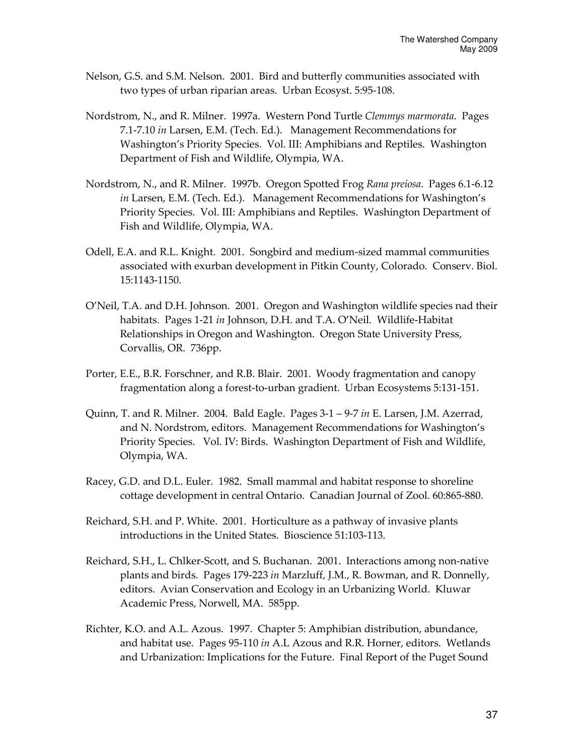- Nelson, G.S. and S.M. Nelson. 2001. Bird and butterfly communities associated with two types of urban riparian areas. Urban Ecosyst. 5:95-108.
- Nordstrom, N., and R. Milner. 1997a. Western Pond Turtle Clemmys marmorata. Pages 7.1-7.10 in Larsen, E.M. (Tech. Ed.). Management Recommendations for Washington's Priority Species. Vol. III: Amphibians and Reptiles. Washington Department of Fish and Wildlife, Olympia, WA.
- Nordstrom, N., and R. Milner. 1997b. Oregon Spotted Frog Rana preiosa. Pages 6.1-6.12 in Larsen, E.M. (Tech. Ed.). Management Recommendations for Washington's Priority Species. Vol. III: Amphibians and Reptiles. Washington Department of Fish and Wildlife, Olympia, WA.
- Odell, E.A. and R.L. Knight. 2001. Songbird and medium-sized mammal communities associated with exurban development in Pitkin County, Colorado. Conserv. Biol. 15:1143-1150.
- O'Neil, T.A. and D.H. Johnson. 2001. Oregon and Washington wildlife species nad their habitats. Pages 1-21 in Johnson, D.H. and T.A. O'Neil. Wildlife-Habitat Relationships in Oregon and Washington. Oregon State University Press, Corvallis, OR. 736pp.
- Porter, E.E., B.R. Forschner, and R.B. Blair. 2001. Woody fragmentation and canopy fragmentation along a forest-to-urban gradient. Urban Ecosystems 5:131-151.
- Quinn, T. and R. Milner. 2004. Bald Eagle. Pages  $3-1 9-7$  in E. Larsen, J.M. Azerrad, and N. Nordstrom, editors. Management Recommendations for Washington's Priority Species. Vol. IV: Birds. Washington Department of Fish and Wildlife, Olympia, WA.
- Racey, G.D. and D.L. Euler. 1982. Small mammal and habitat response to shoreline cottage development in central Ontario. Canadian Journal of Zool. 60:865-880.
- Reichard, S.H. and P. White. 2001. Horticulture as a pathway of invasive plants introductions in the United States. Bioscience 51:103-113.
- Reichard, S.H., L. Chlker-Scott, and S. Buchanan. 2001. Interactions among non-native plants and birds. Pages 179-223 in Marzluff, J.M., R. Bowman, and R. Donnelly, editors. Avian Conservation and Ecology in an Urbanizing World. Kluwar Academic Press, Norwell, MA. 585pp.
- Richter, K.O. and A.L. Azous. 1997. Chapter 5: Amphibian distribution, abundance, and habitat use. Pages 95-110 in A.L Azous and R.R. Horner, editors. Wetlands and Urbanization: Implications for the Future. Final Report of the Puget Sound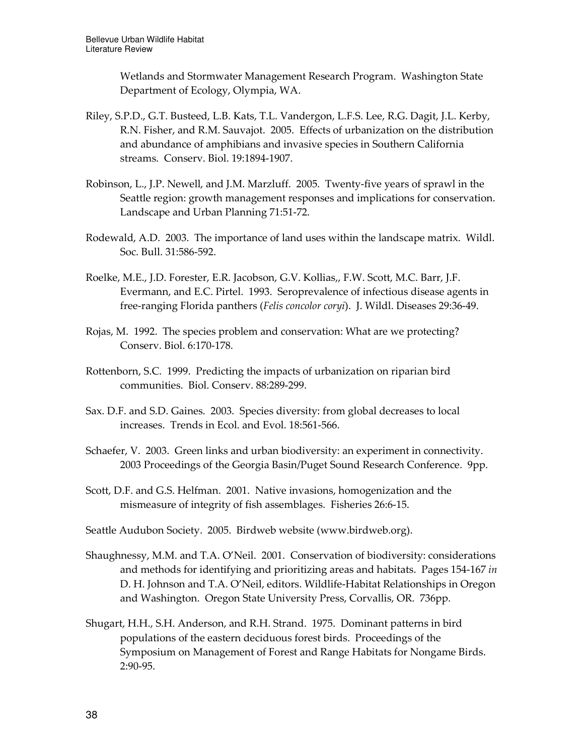Wetlands and Stormwater Management Research Program. Washington State Department of Ecology, Olympia, WA.

- Riley, S.P.D., G.T. Busteed, L.B. Kats, T.L. Vandergon, L.F.S. Lee, R.G. Dagit, J.L. Kerby, R.N. Fisher, and R.M. Sauvajot. 2005. Effects of urbanization on the distribution and abundance of amphibians and invasive species in Southern California streams. Conserv. Biol. 19:1894-1907.
- Robinson, L., J.P. Newell, and J.M. Marzluff. 2005. Twenty-five years of sprawl in the Seattle region: growth management responses and implications for conservation. Landscape and Urban Planning 71:51-72.
- Rodewald, A.D. 2003. The importance of land uses within the landscape matrix. Wildl. Soc. Bull. 31:586-592.
- Roelke, M.E., J.D. Forester, E.R. Jacobson, G.V. Kollias,, F.W. Scott, M.C. Barr, J.F. Evermann, and E.C. Pirtel. 1993. Seroprevalence of infectious disease agents in free-ranging Florida panthers (Felis concolor coryi). J. Wildl. Diseases 29:36-49.
- Rojas, M. 1992. The species problem and conservation: What are we protecting? Conserv. Biol. 6:170-178.
- Rottenborn, S.C. 1999. Predicting the impacts of urbanization on riparian bird communities. Biol. Conserv. 88:289-299.
- Sax. D.F. and S.D. Gaines. 2003. Species diversity: from global decreases to local increases. Trends in Ecol. and Evol. 18:561-566.
- Schaefer, V. 2003. Green links and urban biodiversity: an experiment in connectivity. 2003 Proceedings of the Georgia Basin/Puget Sound Research Conference. 9pp.
- Scott, D.F. and G.S. Helfman. 2001. Native invasions, homogenization and the mismeasure of integrity of fish assemblages. Fisheries 26:6-15.

Seattle Audubon Society. 2005. Birdweb website (www.birdweb.org).

- Shaughnessy, M.M. and T.A. O'Neil. 2001. Conservation of biodiversity: considerations and methods for identifying and prioritizing areas and habitats. Pages 154-167 in D. H. Johnson and T.A. O'Neil, editors. Wildlife-Habitat Relationships in Oregon and Washington. Oregon State University Press, Corvallis, OR. 736pp.
- Shugart, H.H., S.H. Anderson, and R.H. Strand. 1975. Dominant patterns in bird populations of the eastern deciduous forest birds. Proceedings of the Symposium on Management of Forest and Range Habitats for Nongame Birds. 2:90-95.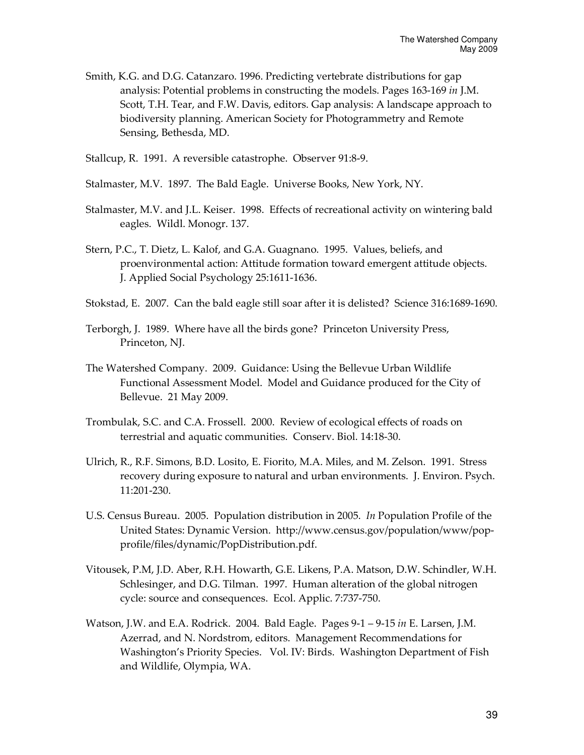- Smith, K.G. and D.G. Catanzaro. 1996. Predicting vertebrate distributions for gap analysis: Potential problems in constructing the models. Pages 163-169 in J.M. Scott, T.H. Tear, and F.W. Davis, editors. Gap analysis: A landscape approach to biodiversity planning. American Society for Photogrammetry and Remote Sensing, Bethesda, MD.
- Stallcup, R. 1991. A reversible catastrophe. Observer 91:8-9.
- Stalmaster, M.V. 1897. The Bald Eagle. Universe Books, New York, NY.
- Stalmaster, M.V. and J.L. Keiser. 1998. Effects of recreational activity on wintering bald eagles. Wildl. Monogr. 137.
- Stern, P.C., T. Dietz, L. Kalof, and G.A. Guagnano. 1995. Values, beliefs, and proenvironmental action: Attitude formation toward emergent attitude objects. J. Applied Social Psychology 25:1611-1636.
- Stokstad, E. 2007. Can the bald eagle still soar after it is delisted? Science 316:1689-1690.
- Terborgh, J. 1989. Where have all the birds gone? Princeton University Press, Princeton, NJ.
- The Watershed Company. 2009. Guidance: Using the Bellevue Urban Wildlife Functional Assessment Model. Model and Guidance produced for the City of Bellevue. 21 May 2009.
- Trombulak, S.C. and C.A. Frossell. 2000. Review of ecological effects of roads on terrestrial and aquatic communities. Conserv. Biol. 14:18-30.
- Ulrich, R., R.F. Simons, B.D. Losito, E. Fiorito, M.A. Miles, and M. Zelson. 1991. Stress recovery during exposure to natural and urban environments. J. Environ. Psych. 11:201-230.
- U.S. Census Bureau. 2005. Population distribution in 2005. In Population Profile of the United States: Dynamic Version. http://www.census.gov/population/www/popprofile/files/dynamic/PopDistribution.pdf.
- Vitousek, P.M, J.D. Aber, R.H. Howarth, G.E. Likens, P.A. Matson, D.W. Schindler, W.H. Schlesinger, and D.G. Tilman. 1997. Human alteration of the global nitrogen cycle: source and consequences. Ecol. Applic. 7:737-750.
- Watson, J.W. and E.A. Rodrick. 2004. Bald Eagle. Pages 9-1 9-15 in E. Larsen, J.M. Azerrad, and N. Nordstrom, editors. Management Recommendations for Washington's Priority Species. Vol. IV: Birds. Washington Department of Fish and Wildlife, Olympia, WA.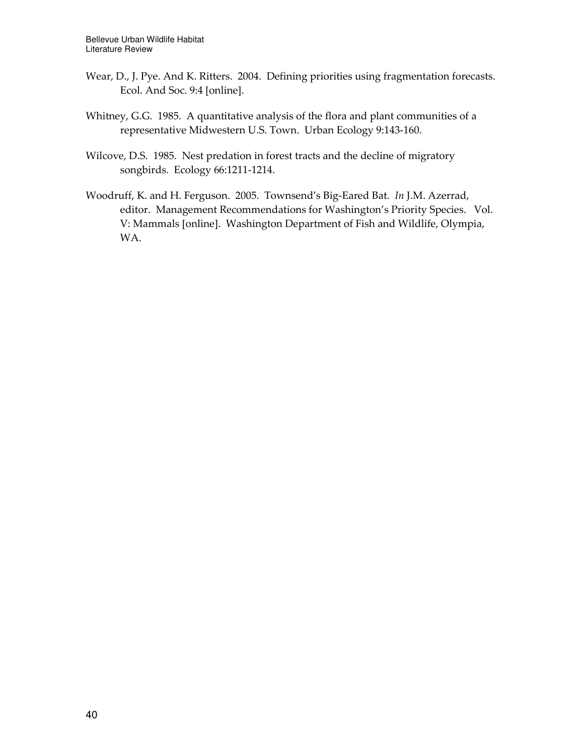- Wear, D., J. Pye. And K. Ritters. 2004. Defining priorities using fragmentation forecasts. Ecol. And Soc. 9:4 [online].
- Whitney, G.G. 1985. A quantitative analysis of the flora and plant communities of a representative Midwestern U.S. Town. Urban Ecology 9:143-160.
- Wilcove, D.S. 1985. Nest predation in forest tracts and the decline of migratory songbirds. Ecology 66:1211-1214.
- Woodruff, K. and H. Ferguson. 2005. Townsend's Big-Eared Bat. In J.M. Azerrad, editor. Management Recommendations for Washington's Priority Species. Vol. V: Mammals [online]. Washington Department of Fish and Wildlife, Olympia, WA.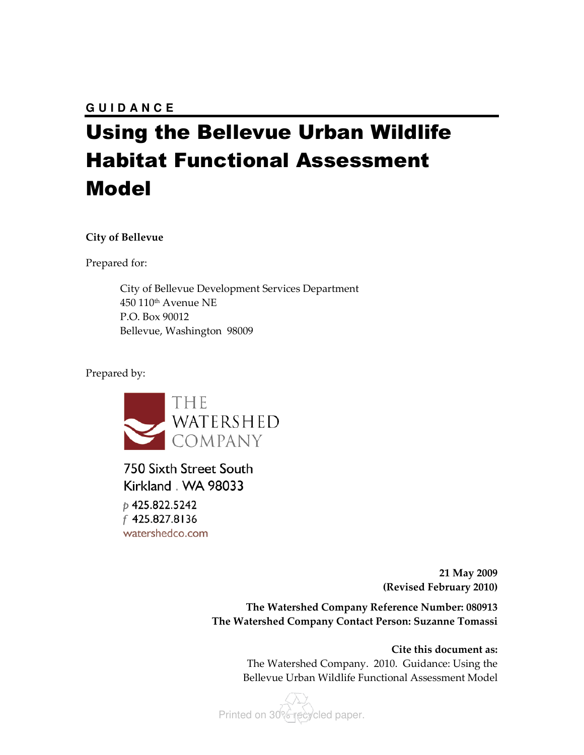## Using the Bellevue Urban Wildlife Habitat Functional Assessment Model

#### City of Bellevue

Prepared for:

City of Bellevue Development Services Department 450 110th Avenue NE P.O. Box 90012 Bellevue, Washington 98009

Prepared by:



750 Sixth Street South Kirkland . WA 98033 p 425.822.5242 f 425.827.8136 watershedco.com

> 21 May 2009 (Revised February 2010)

The Watershed Company Reference Number: 080913 The Watershed Company Contact Person: Suzanne Tomassi

> Cite this document as: The Watershed Company. 2010. Guidance: Using the Bellevue Urban Wildlife Functional Assessment Model

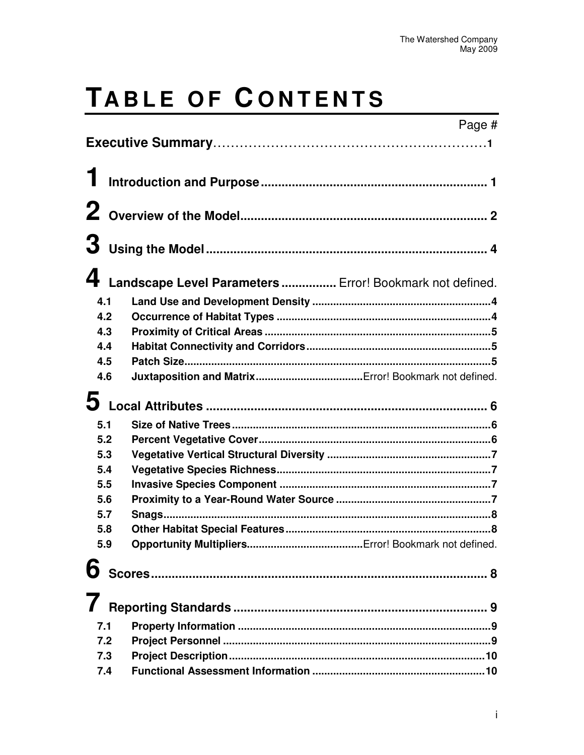# TABLE OF CONTENTS

|   |     |                                                          | Page # |
|---|-----|----------------------------------------------------------|--------|
|   |     |                                                          |        |
|   |     |                                                          |        |
|   |     |                                                          |        |
|   |     |                                                          |        |
|   |     |                                                          |        |
|   |     |                                                          |        |
|   |     |                                                          |        |
|   |     | Landscape Level Parameters  Error! Bookmark not defined. |        |
|   | 4.1 |                                                          |        |
|   | 4.2 |                                                          |        |
|   | 4.3 |                                                          |        |
|   | 4.4 |                                                          |        |
|   | 4.5 |                                                          |        |
|   | 4.6 |                                                          |        |
|   |     |                                                          |        |
| 5 |     |                                                          |        |
|   | 5.1 |                                                          |        |
|   | 5.2 |                                                          |        |
|   | 5.3 |                                                          |        |
|   | 5.4 |                                                          |        |
|   | 5.5 |                                                          |        |
|   | 5.6 |                                                          |        |
|   | 5.7 |                                                          |        |
|   | 5.8 |                                                          |        |
|   |     |                                                          |        |
|   |     |                                                          |        |
|   |     |                                                          |        |
|   |     |                                                          |        |
|   |     |                                                          |        |
|   | 7.1 |                                                          |        |
|   | 7.2 |                                                          |        |
|   | 7.3 |                                                          |        |
|   | 7.4 |                                                          |        |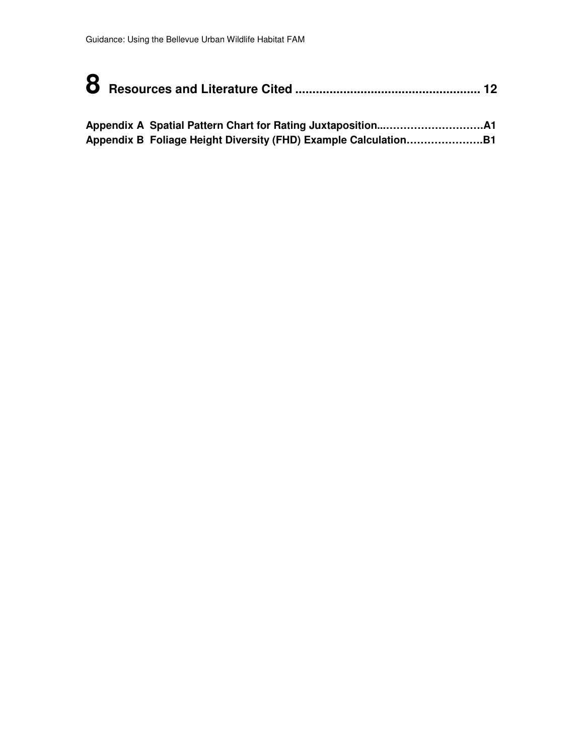**Appendix B Foliage Height Diversity (FHD) Example Calculation………………….B1**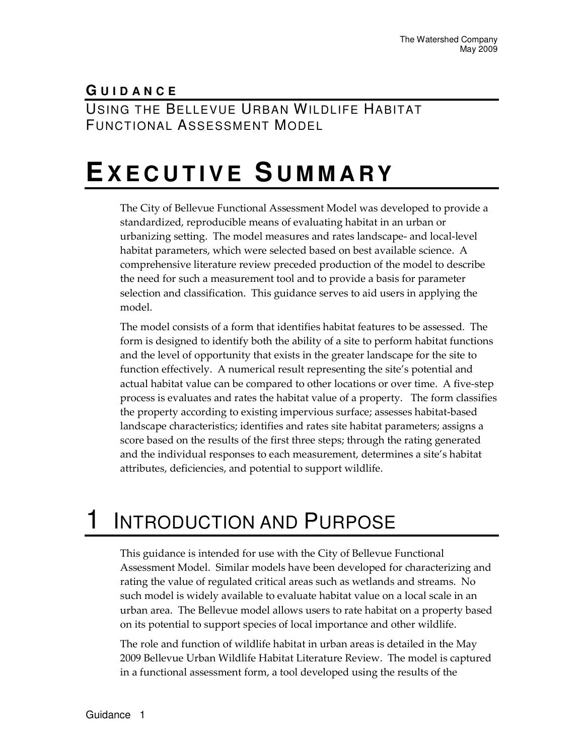#### **G U I D A N C E** USING THE BELLEVUE URBAN WILDLIFE HABITAT FUNCTIONAL ASSESSMENT MODEL

## **EX E C U T I V E S U M M A R Y**

The City of Bellevue Functional Assessment Model was developed to provide a standardized, reproducible means of evaluating habitat in an urban or urbanizing setting. The model measures and rates landscape- and local-level habitat parameters, which were selected based on best available science. A comprehensive literature review preceded production of the model to describe the need for such a measurement tool and to provide a basis for parameter selection and classification. This guidance serves to aid users in applying the model.

The model consists of a form that identifies habitat features to be assessed. The form is designed to identify both the ability of a site to perform habitat functions and the level of opportunity that exists in the greater landscape for the site to function effectively. A numerical result representing the site's potential and actual habitat value can be compared to other locations or over time. A five-step process is evaluates and rates the habitat value of a property. The form classifies the property according to existing impervious surface; assesses habitat-based landscape characteristics; identifies and rates site habitat parameters; assigns a score based on the results of the first three steps; through the rating generated and the individual responses to each measurement, determines a site's habitat attributes, deficiencies, and potential to support wildlife.

## 1 INTRODUCTION AND PURPOSE

This guidance is intended for use with the City of Bellevue Functional Assessment Model. Similar models have been developed for characterizing and rating the value of regulated critical areas such as wetlands and streams. No such model is widely available to evaluate habitat value on a local scale in an urban area. The Bellevue model allows users to rate habitat on a property based on its potential to support species of local importance and other wildlife.

The role and function of wildlife habitat in urban areas is detailed in the May 2009 Bellevue Urban Wildlife Habitat Literature Review. The model is captured in a functional assessment form, a tool developed using the results of the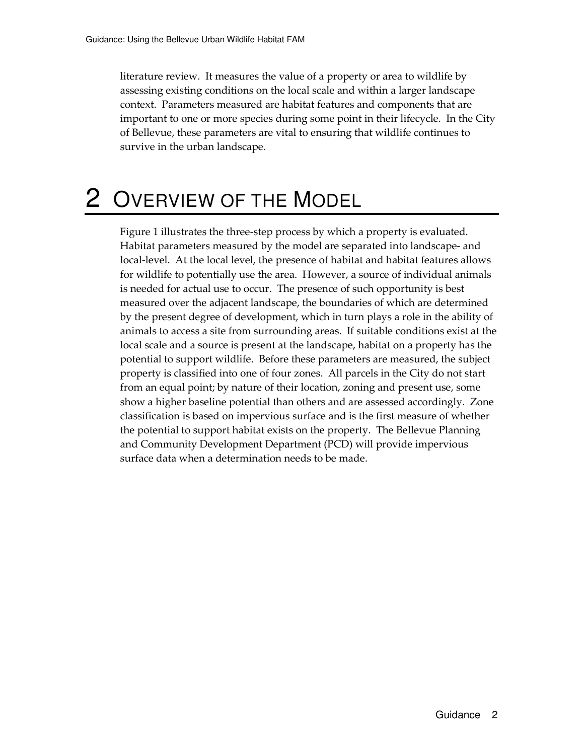literature review. It measures the value of a property or area to wildlife by assessing existing conditions on the local scale and within a larger landscape context. Parameters measured are habitat features and components that are important to one or more species during some point in their lifecycle. In the City of Bellevue, these parameters are vital to ensuring that wildlife continues to survive in the urban landscape.

## 2 OVERVIEW OF THE MODEL

Figure 1 illustrates the three-step process by which a property is evaluated. Habitat parameters measured by the model are separated into landscape- and local-level. At the local level, the presence of habitat and habitat features allows for wildlife to potentially use the area. However, a source of individual animals is needed for actual use to occur. The presence of such opportunity is best measured over the adjacent landscape, the boundaries of which are determined by the present degree of development, which in turn plays a role in the ability of animals to access a site from surrounding areas. If suitable conditions exist at the local scale and a source is present at the landscape, habitat on a property has the potential to support wildlife. Before these parameters are measured, the subject property is classified into one of four zones. All parcels in the City do not start from an equal point; by nature of their location, zoning and present use, some show a higher baseline potential than others and are assessed accordingly. Zone classification is based on impervious surface and is the first measure of whether the potential to support habitat exists on the property. The Bellevue Planning and Community Development Department (PCD) will provide impervious surface data when a determination needs to be made.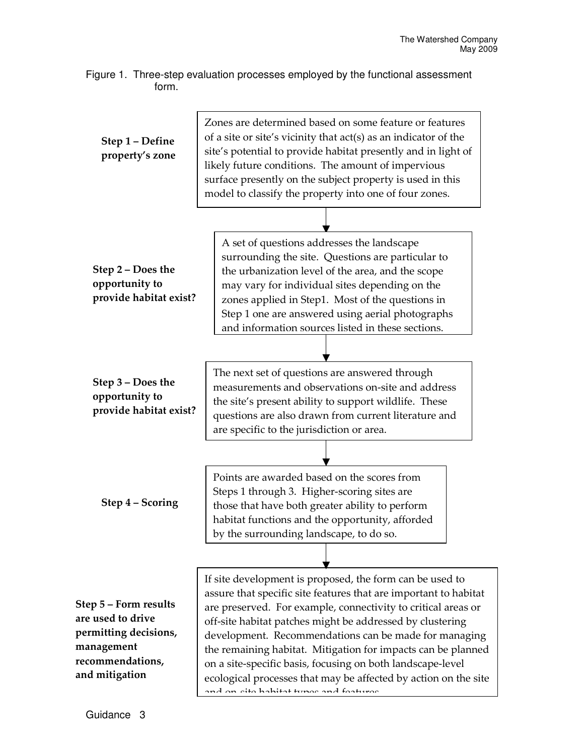Figure 1. Three-step evaluation processes employed by the functional assessment form.

| Step 1 - Define<br>property's zone                                                                                      | Zones are determined based on some feature or features<br>of a site or site's vicinity that act(s) as an indicator of the<br>site's potential to provide habitat presently and in light of<br>likely future conditions. The amount of impervious<br>surface presently on the subject property is used in this<br>model to classify the property into one of four zones.                                                                                                                                                                                        |  |  |  |  |
|-------------------------------------------------------------------------------------------------------------------------|----------------------------------------------------------------------------------------------------------------------------------------------------------------------------------------------------------------------------------------------------------------------------------------------------------------------------------------------------------------------------------------------------------------------------------------------------------------------------------------------------------------------------------------------------------------|--|--|--|--|
| Step 2 – Does the<br>opportunity to<br>provide habitat exist?                                                           | A set of questions addresses the landscape<br>surrounding the site. Questions are particular to<br>the urbanization level of the area, and the scope<br>may vary for individual sites depending on the<br>zones applied in Step1. Most of the questions in<br>Step 1 one are answered using aerial photographs<br>and information sources listed in these sections.                                                                                                                                                                                            |  |  |  |  |
| Step 3 – Does the<br>opportunity to<br>provide habitat exist?                                                           | The next set of questions are answered through<br>measurements and observations on-site and address<br>the site's present ability to support wildlife. These<br>questions are also drawn from current literature and<br>are specific to the jurisdiction or area.                                                                                                                                                                                                                                                                                              |  |  |  |  |
| Step 4 – Scoring                                                                                                        | Points are awarded based on the scores from<br>Steps 1 through 3. Higher-scoring sites are<br>those that have both greater ability to perform<br>habitat functions and the opportunity, afforded<br>by the surrounding landscape, to do so.                                                                                                                                                                                                                                                                                                                    |  |  |  |  |
| Step 5 - Form results<br>are used to drive<br>permitting decisions,<br>management<br>recommendations,<br>and mitigation | If site development is proposed, the form can be used to<br>assure that specific site features that are important to habitat<br>are preserved. For example, connectivity to critical areas or<br>off-site habitat patches might be addressed by clustering<br>development. Recommendations can be made for managing<br>the remaining habitat. Mitigation for impacts can be planned<br>on a site-specific basis, focusing on both landscape-level<br>ecological processes that may be affected by action on the site<br>and an eita habitat tunge and foaturge |  |  |  |  |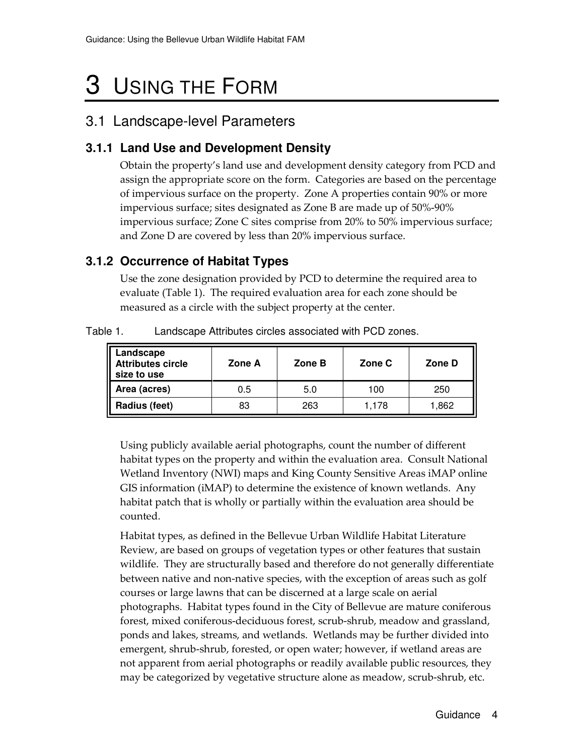## 3 USING THE FORM

#### 3.1 Landscape-level Parameters

#### **3.1.1 Land Use and Development Density**

Obtain the property's land use and development density category from PCD and assign the appropriate score on the form. Categories are based on the percentage of impervious surface on the property. Zone A properties contain 90% or more impervious surface; sites designated as Zone B are made up of 50%-90% impervious surface; Zone C sites comprise from 20% to 50% impervious surface; and Zone D are covered by less than 20% impervious surface.

#### **3.1.2 Occurrence of Habitat Types**

Use the zone designation provided by PCD to determine the required area to evaluate (Table 1). The required evaluation area for each zone should be measured as a circle with the subject property at the center.

| Landscape<br>Attributes circle<br>size to use | Zone A | Zone B | Zone C | Zone D |  |
|-----------------------------------------------|--------|--------|--------|--------|--|
| Area (acres)                                  | 0.5    | 5.0    | 100    | 250    |  |
| Radius (feet)                                 | 83     | 263    | 1,178  | 1,862  |  |

Table 1. Landscape Attributes circles associated with PCD zones.

Using publicly available aerial photographs, count the number of different habitat types on the property and within the evaluation area. Consult National Wetland Inventory (NWI) maps and King County Sensitive Areas iMAP online GIS information (iMAP) to determine the existence of known wetlands. Any habitat patch that is wholly or partially within the evaluation area should be counted.

Habitat types, as defined in the Bellevue Urban Wildlife Habitat Literature Review, are based on groups of vegetation types or other features that sustain wildlife. They are structurally based and therefore do not generally differentiate between native and non-native species, with the exception of areas such as golf courses or large lawns that can be discerned at a large scale on aerial photographs. Habitat types found in the City of Bellevue are mature coniferous forest, mixed coniferous-deciduous forest, scrub-shrub, meadow and grassland, ponds and lakes, streams, and wetlands. Wetlands may be further divided into emergent, shrub-shrub, forested, or open water; however, if wetland areas are not apparent from aerial photographs or readily available public resources, they may be categorized by vegetative structure alone as meadow, scrub-shrub, etc.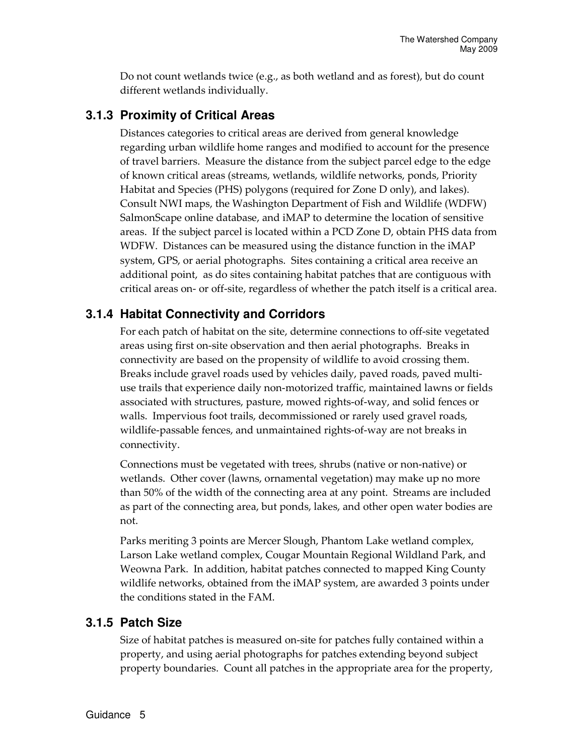Do not count wetlands twice (e.g., as both wetland and as forest), but do count different wetlands individually.

#### **3.1.3 Proximity of Critical Areas**

Distances categories to critical areas are derived from general knowledge regarding urban wildlife home ranges and modified to account for the presence of travel barriers. Measure the distance from the subject parcel edge to the edge of known critical areas (streams, wetlands, wildlife networks, ponds, Priority Habitat and Species (PHS) polygons (required for Zone D only), and lakes). Consult NWI maps, the Washington Department of Fish and Wildlife (WDFW) SalmonScape online database, and iMAP to determine the location of sensitive areas. If the subject parcel is located within a PCD Zone D, obtain PHS data from WDFW. Distances can be measured using the distance function in the iMAP system, GPS, or aerial photographs. Sites containing a critical area receive an additional point, as do sites containing habitat patches that are contiguous with critical areas on- or off-site, regardless of whether the patch itself is a critical area.

#### **3.1.4 Habitat Connectivity and Corridors**

For each patch of habitat on the site, determine connections to off-site vegetated areas using first on-site observation and then aerial photographs. Breaks in connectivity are based on the propensity of wildlife to avoid crossing them. Breaks include gravel roads used by vehicles daily, paved roads, paved multiuse trails that experience daily non-motorized traffic, maintained lawns or fields associated with structures, pasture, mowed rights-of-way, and solid fences or walls. Impervious foot trails, decommissioned or rarely used gravel roads, wildlife-passable fences, and unmaintained rights-of-way are not breaks in connectivity.

Connections must be vegetated with trees, shrubs (native or non-native) or wetlands. Other cover (lawns, ornamental vegetation) may make up no more than 50% of the width of the connecting area at any point. Streams are included as part of the connecting area, but ponds, lakes, and other open water bodies are not.

Parks meriting 3 points are Mercer Slough, Phantom Lake wetland complex, Larson Lake wetland complex, Cougar Mountain Regional Wildland Park, and Weowna Park. In addition, habitat patches connected to mapped King County wildlife networks, obtained from the iMAP system, are awarded 3 points under the conditions stated in the FAM.

#### **3.1.5 Patch Size**

Size of habitat patches is measured on-site for patches fully contained within a property, and using aerial photographs for patches extending beyond subject property boundaries. Count all patches in the appropriate area for the property,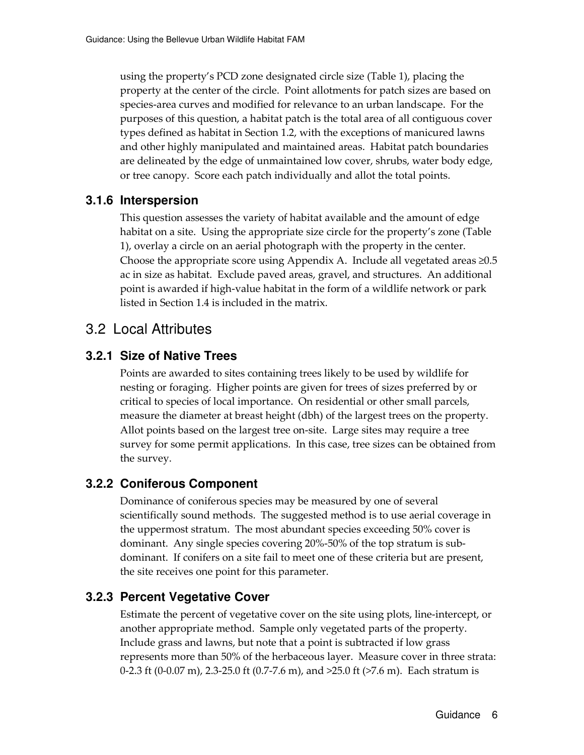using the property's PCD zone designated circle size (Table 1), placing the property at the center of the circle. Point allotments for patch sizes are based on species-area curves and modified for relevance to an urban landscape. For the purposes of this question, a habitat patch is the total area of all contiguous cover types defined as habitat in Section 1.2, with the exceptions of manicured lawns and other highly manipulated and maintained areas. Habitat patch boundaries are delineated by the edge of unmaintained low cover, shrubs, water body edge, or tree canopy. Score each patch individually and allot the total points.

#### **3.1.6 Interspersion**

This question assesses the variety of habitat available and the amount of edge habitat on a site. Using the appropriate size circle for the property's zone (Table 1), overlay a circle on an aerial photograph with the property in the center. Choose the appropriate score using Appendix A. Include all vegetated areas  $\geq 0.5$ ac in size as habitat. Exclude paved areas, gravel, and structures. An additional point is awarded if high-value habitat in the form of a wildlife network or park listed in Section 1.4 is included in the matrix.

#### 3.2 Local Attributes

#### **3.2.1 Size of Native Trees**

Points are awarded to sites containing trees likely to be used by wildlife for nesting or foraging. Higher points are given for trees of sizes preferred by or critical to species of local importance. On residential or other small parcels, measure the diameter at breast height (dbh) of the largest trees on the property. Allot points based on the largest tree on-site. Large sites may require a tree survey for some permit applications. In this case, tree sizes can be obtained from the survey.

#### **3.2.2 Coniferous Component**

Dominance of coniferous species may be measured by one of several scientifically sound methods. The suggested method is to use aerial coverage in the uppermost stratum. The most abundant species exceeding 50% cover is dominant. Any single species covering 20%-50% of the top stratum is subdominant. If conifers on a site fail to meet one of these criteria but are present, the site receives one point for this parameter.

#### **3.2.3 Percent Vegetative Cover**

Estimate the percent of vegetative cover on the site using plots, line-intercept, or another appropriate method. Sample only vegetated parts of the property. Include grass and lawns, but note that a point is subtracted if low grass represents more than 50% of the herbaceous layer. Measure cover in three strata: 0-2.3 ft (0-0.07 m), 2.3-25.0 ft (0.7-7.6 m), and >25.0 ft (>7.6 m). Each stratum is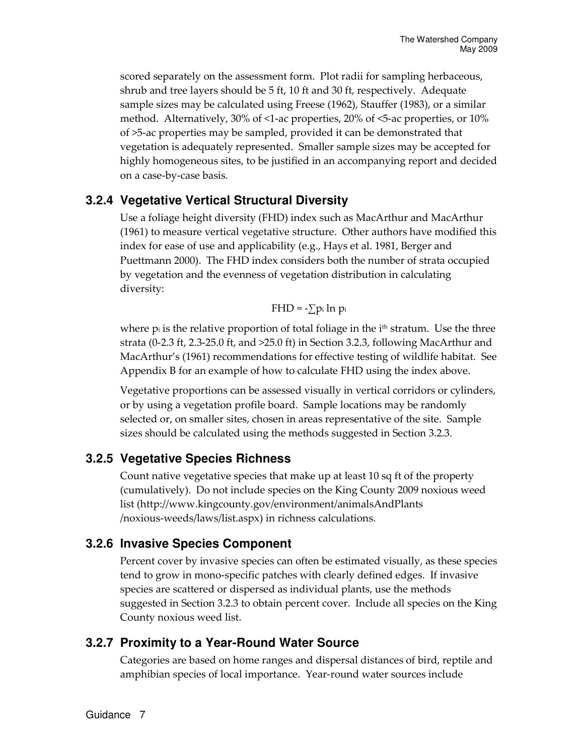scored separately on the assessment form. Plot radii for sampling herbaceous, shrub and tree layers should be 5 ft, 10 ft and 30 ft, respectively. Adequate sample sizes may be calculated using Freese (1962), Stauffer (1983), or a similar method. Alternatively, 30% of <1-ac properties, 20% of <5-ac properties, or 10% of >5-ac properties may be sampled, provided it can be demonstrated that vegetation is adequately represented. Smaller sample sizes may be accepted for highly homogeneous sites, to be justified in an accompanying report and decided on a case-by-case basis.

#### **3.2.4 Vegetative Vertical Structural Diversity**

Use a foliage height diversity (FHD) index such as MacArthur and MacArthur (1961) to measure vertical vegetative structure. Other authors have modified this index for ease of use and applicability (e.g., Hays et al. 1981, Berger and Puettmann 2000). The FHD index considers both the number of strata occupied by vegetation and the evenness of vegetation distribution in calculating diversity:

$$
FHD = -\sum p_i \ln p_i
$$

where  $p_i$  is the relative proportion of total foliage in the  $i<sup>th</sup>$  stratum. Use the three strata (0-2.3 ft, 2.3-25.0 ft, and >25.0 ft) in Section 3.2.3, following MacArthur and MacArthur's (1961) recommendations for effective testing of wildlife habitat. See Appendix B for an example of how to calculate FHD using the index above.

Vegetative proportions can be assessed visually in vertical corridors or cylinders, or by using a vegetation profile board. Sample locations may be randomly selected or, on smaller sites, chosen in areas representative of the site. Sample sizes should be calculated using the methods suggested in Section 3.2.3.

#### **3.2.5 Vegetative Species Richness**

Count native vegetative species that make up at least 10 sq ft of the property (cumulatively). Do not include species on the King County 2009 noxious weed list (http://www.kingcounty.gov/environment/animalsAndPlants /noxious-weeds/laws/list.aspx) in richness calculations.

#### **3.2.6 Invasive Species Component**

Percent cover by invasive species can often be estimated visually, as these species tend to grow in mono-specific patches with clearly defined edges. If invasive species are scattered or dispersed as individual plants, use the methods suggested in Section 3.2.3 to obtain percent cover. Include all species on the King County noxious weed list.

#### **3.2.7 Proximity to a Year-Round Water Source**

Categories are based on home ranges and dispersal distances of bird, reptile and amphibian species of local importance. Year-round water sources include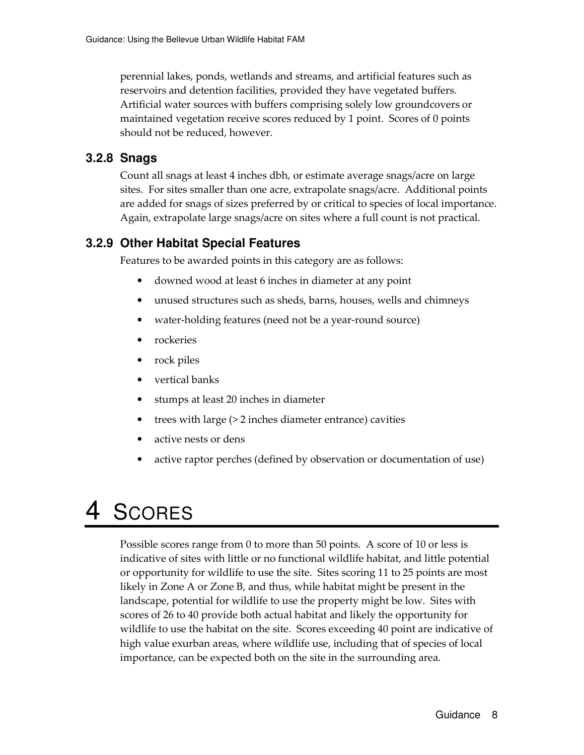perennial lakes, ponds, wetlands and streams, and artificial features such as reservoirs and detention facilities, provided they have vegetated buffers. Artificial water sources with buffers comprising solely low groundcovers or maintained vegetation receive scores reduced by 1 point. Scores of 0 points should not be reduced, however.

#### **3.2.8 Snags**

Count all snags at least 4 inches dbh, or estimate average snags/acre on large sites. For sites smaller than one acre, extrapolate snags/acre. Additional points are added for snags of sizes preferred by or critical to species of local importance. Again, extrapolate large snags/acre on sites where a full count is not practical.

#### **3.2.9 Other Habitat Special Features**

Features to be awarded points in this category are as follows:

- downed wood at least 6 inches in diameter at any point
- unused structures such as sheds, barns, houses, wells and chimneys
- water-holding features (need not be a year-round source)
- rockeries
- rock piles
- vertical banks
- stumps at least 20 inches in diameter
- trees with large (> 2 inches diameter entrance) cavities
- active nests or dens
- active raptor perches (defined by observation or documentation of use)

### 4 SCORES

Possible scores range from 0 to more than 50 points. A score of 10 or less is indicative of sites with little or no functional wildlife habitat, and little potential or opportunity for wildlife to use the site. Sites scoring 11 to 25 points are most likely in Zone A or Zone B, and thus, while habitat might be present in the landscape, potential for wildlife to use the property might be low. Sites with scores of 26 to 40 provide both actual habitat and likely the opportunity for wildlife to use the habitat on the site. Scores exceeding 40 point are indicative of high value exurban areas, where wildlife use, including that of species of local importance, can be expected both on the site in the surrounding area.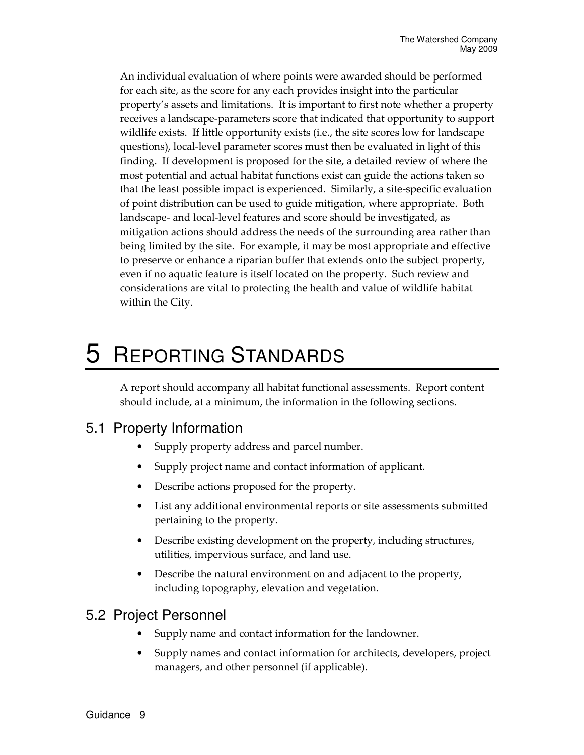An individual evaluation of where points were awarded should be performed for each site, as the score for any each provides insight into the particular property's assets and limitations. It is important to first note whether a property receives a landscape-parameters score that indicated that opportunity to support wildlife exists. If little opportunity exists (i.e., the site scores low for landscape questions), local-level parameter scores must then be evaluated in light of this finding. If development is proposed for the site, a detailed review of where the most potential and actual habitat functions exist can guide the actions taken so that the least possible impact is experienced. Similarly, a site-specific evaluation of point distribution can be used to guide mitigation, where appropriate. Both landscape- and local-level features and score should be investigated, as mitigation actions should address the needs of the surrounding area rather than being limited by the site. For example, it may be most appropriate and effective to preserve or enhance a riparian buffer that extends onto the subject property, even if no aquatic feature is itself located on the property. Such review and considerations are vital to protecting the health and value of wildlife habitat within the City.

### 5 REPORTING STANDARDS

A report should accompany all habitat functional assessments. Report content should include, at a minimum, the information in the following sections.

#### 5.1 Property Information

- Supply property address and parcel number.
- Supply project name and contact information of applicant.
- Describe actions proposed for the property.
- List any additional environmental reports or site assessments submitted pertaining to the property.
- Describe existing development on the property, including structures, utilities, impervious surface, and land use.
- Describe the natural environment on and adjacent to the property, including topography, elevation and vegetation.

#### 5.2 Project Personnel

- Supply name and contact information for the landowner.
- Supply names and contact information for architects, developers, project managers, and other personnel (if applicable).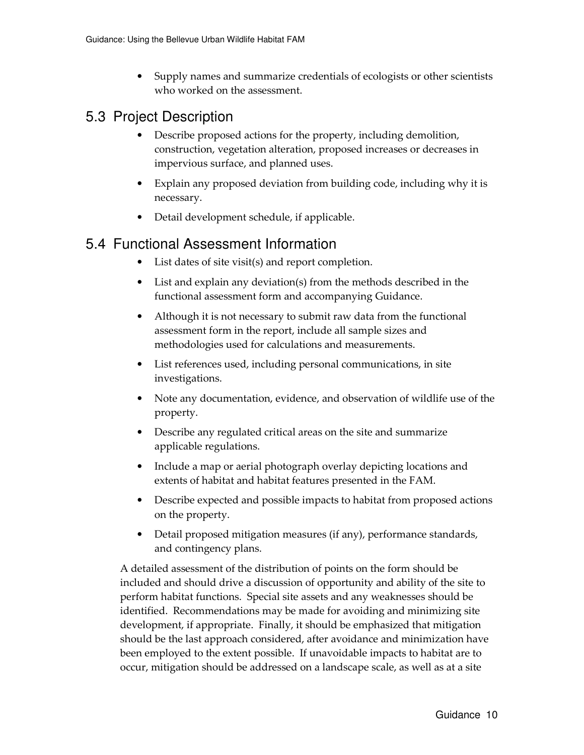• Supply names and summarize credentials of ecologists or other scientists who worked on the assessment.

#### 5.3 Project Description

- Describe proposed actions for the property, including demolition, construction, vegetation alteration, proposed increases or decreases in impervious surface, and planned uses.
- Explain any proposed deviation from building code, including why it is necessary.
- Detail development schedule, if applicable.

#### 5.4 Functional Assessment Information

- List dates of site visit(s) and report completion.
- List and explain any deviation(s) from the methods described in the functional assessment form and accompanying Guidance.
- Although it is not necessary to submit raw data from the functional assessment form in the report, include all sample sizes and methodologies used for calculations and measurements.
- List references used, including personal communications, in site investigations.
- Note any documentation, evidence, and observation of wildlife use of the property.
- Describe any regulated critical areas on the site and summarize applicable regulations.
- Include a map or aerial photograph overlay depicting locations and extents of habitat and habitat features presented in the FAM.
- Describe expected and possible impacts to habitat from proposed actions on the property.
- Detail proposed mitigation measures (if any), performance standards, and contingency plans.

A detailed assessment of the distribution of points on the form should be included and should drive a discussion of opportunity and ability of the site to perform habitat functions. Special site assets and any weaknesses should be identified. Recommendations may be made for avoiding and minimizing site development, if appropriate. Finally, it should be emphasized that mitigation should be the last approach considered, after avoidance and minimization have been employed to the extent possible. If unavoidable impacts to habitat are to occur, mitigation should be addressed on a landscape scale, as well as at a site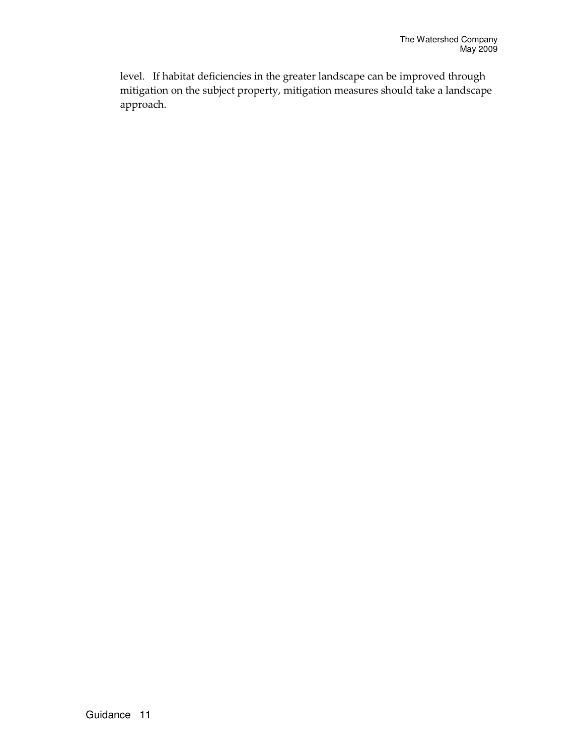level. If habitat deficiencies in the greater landscape can be improved through mitigation on the subject property, mitigation measures should take a landscape approach.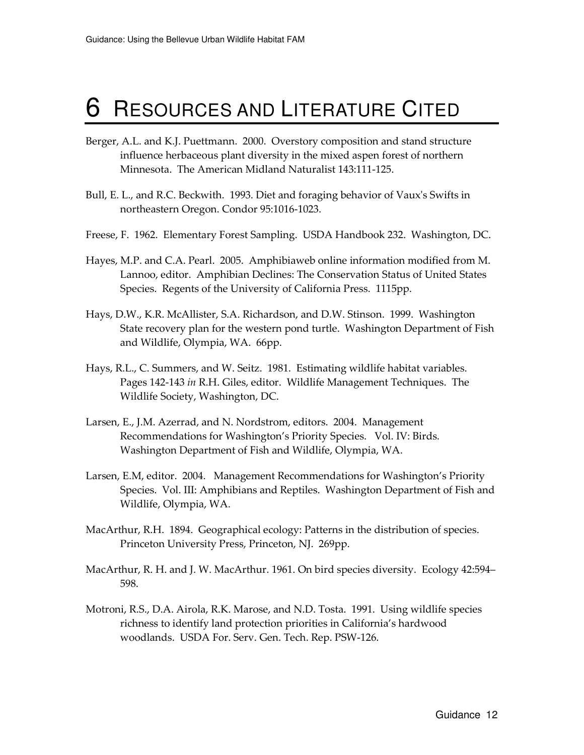## 6 RESOURCES AND LITERATURE CITED

- Berger, A.L. and K.J. Puettmann. 2000. Overstory composition and stand structure influence herbaceous plant diversity in the mixed aspen forest of northern Minnesota. The American Midland Naturalist 143:111-125.
- Bull, E. L., and R.C. Beckwith. 1993. Diet and foraging behavior of Vaux's Swifts in northeastern Oregon. Condor 95:1016-1023.
- Freese, F. 1962. Elementary Forest Sampling. USDA Handbook 232. Washington, DC.
- Hayes, M.P. and C.A. Pearl. 2005. Amphibiaweb online information modified from M. Lannoo, editor. Amphibian Declines: The Conservation Status of United States Species. Regents of the University of California Press. 1115pp.
- Hays, D.W., K.R. McAllister, S.A. Richardson, and D.W. Stinson. 1999. Washington State recovery plan for the western pond turtle. Washington Department of Fish and Wildlife, Olympia, WA. 66pp.
- Hays, R.L., C. Summers, and W. Seitz. 1981. Estimating wildlife habitat variables. Pages 142-143 in R.H. Giles, editor. Wildlife Management Techniques. The Wildlife Society, Washington, DC.
- Larsen, E., J.M. Azerrad, and N. Nordstrom, editors. 2004. Management Recommendations for Washington's Priority Species. Vol. IV: Birds. Washington Department of Fish and Wildlife, Olympia, WA.
- Larsen, E.M, editor. 2004. Management Recommendations for Washington's Priority Species. Vol. III: Amphibians and Reptiles. Washington Department of Fish and Wildlife, Olympia, WA.
- MacArthur, R.H. 1894. Geographical ecology: Patterns in the distribution of species. Princeton University Press, Princeton, NJ. 269pp.
- MacArthur, R. H. and J. W. MacArthur. 1961. On bird species diversity. Ecology 42:594– 598.
- Motroni, R.S., D.A. Airola, R.K. Marose, and N.D. Tosta. 1991. Using wildlife species richness to identify land protection priorities in California's hardwood woodlands. USDA For. Serv. Gen. Tech. Rep. PSW-126.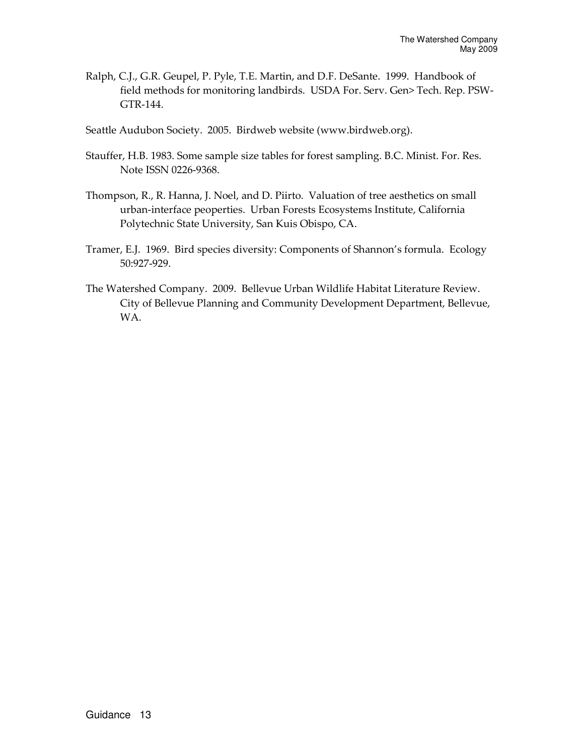- Ralph, C.J., G.R. Geupel, P. Pyle, T.E. Martin, and D.F. DeSante. 1999. Handbook of field methods for monitoring landbirds. USDA For. Serv. Gen> Tech. Rep. PSW-GTR-144.
- Seattle Audubon Society. 2005. Birdweb website (www.birdweb.org).
- Stauffer, H.B. 1983. Some sample size tables for forest sampling. B.C. Minist. For. Res. Note ISSN 0226-9368.
- Thompson, R., R. Hanna, J. Noel, and D. Piirto. Valuation of tree aesthetics on small urban-interface peoperties. Urban Forests Ecosystems Institute, California Polytechnic State University, San Kuis Obispo, CA.
- Tramer, E.J. 1969. Bird species diversity: Components of Shannon's formula. Ecology 50:927-929.
- The Watershed Company. 2009. Bellevue Urban Wildlife Habitat Literature Review. City of Bellevue Planning and Community Development Department, Bellevue, WA.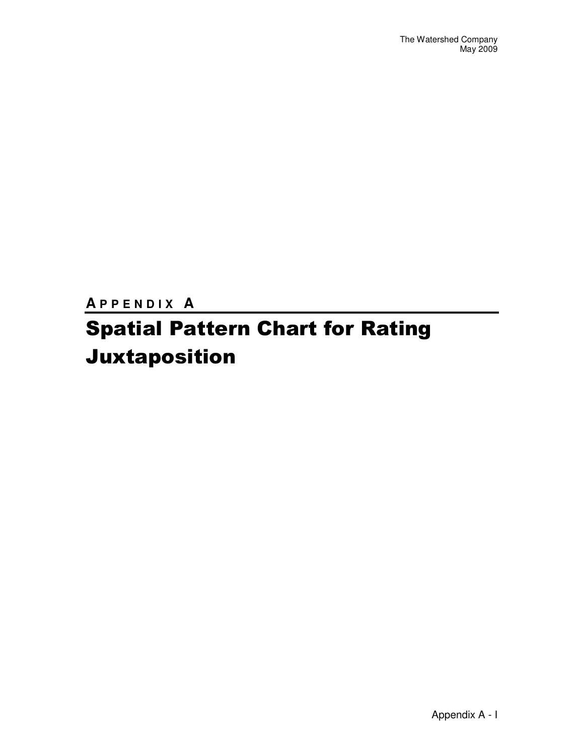**A P P E N D I X A** 

## Spatial Pattern Chart for Rating Juxtaposition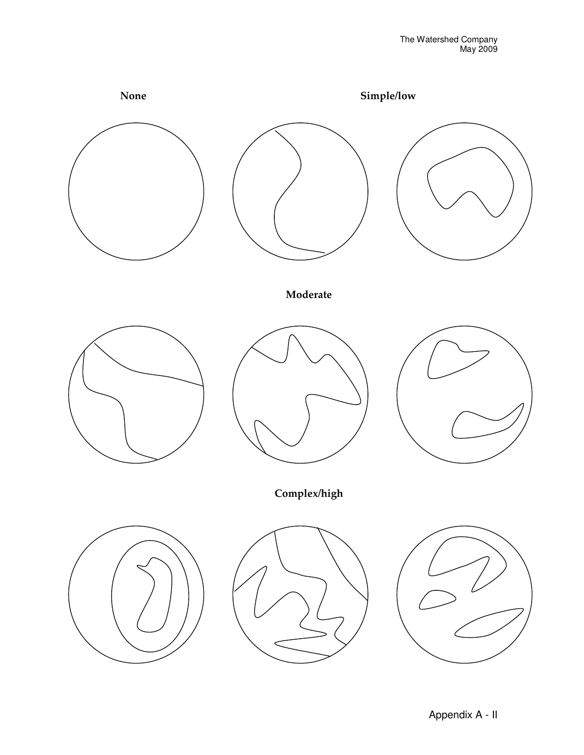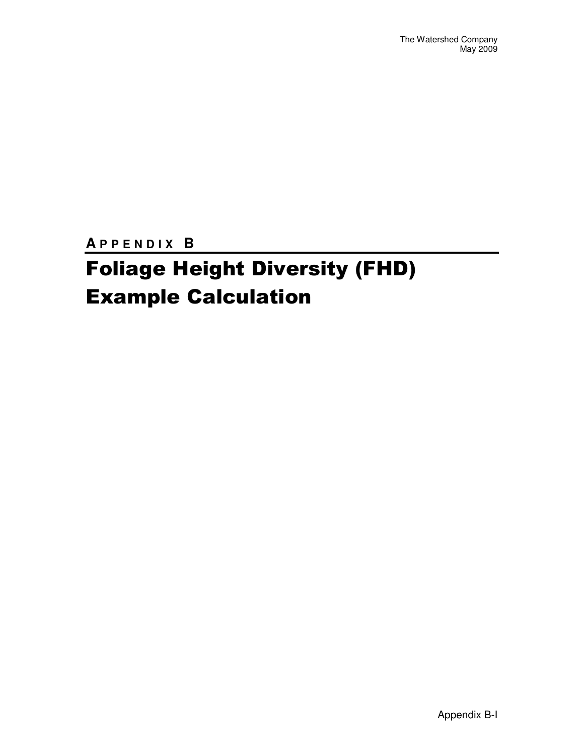**A P P E N D I X B** 

### Foliage Height Diversity (FHD) Example Calculation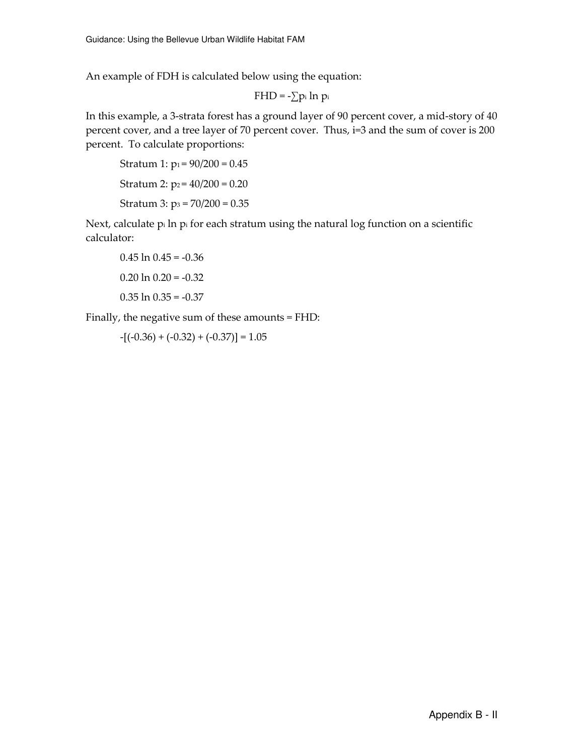An example of FDH is calculated below using the equation:

$$
FHD = -\sum p_i \ln \, p_i
$$

In this example, a 3-strata forest has a ground layer of 90 percent cover, a mid-story of 40 percent cover, and a tree layer of 70 percent cover. Thus, i=3 and the sum of cover is 200 percent. To calculate proportions:

Stratum 1:  $p_1 = 90/200 = 0.45$ Stratum 2:  $p_2 = 40/200 = 0.20$ Stratum 3:  $p_3 = 70/200 = 0.35$ 

Next, calculate pi ln pi for each stratum using the natural log function on a scientific calculator:

```
0.45 \ln 0.45 = -0.360.20 \ln 0.20 = -0.320.35 \ln 0.35 = -0.37
```
Finally, the negative sum of these amounts = FHD:

 $-[(-0.36) + (-0.32) + (-0.37)] = 1.05$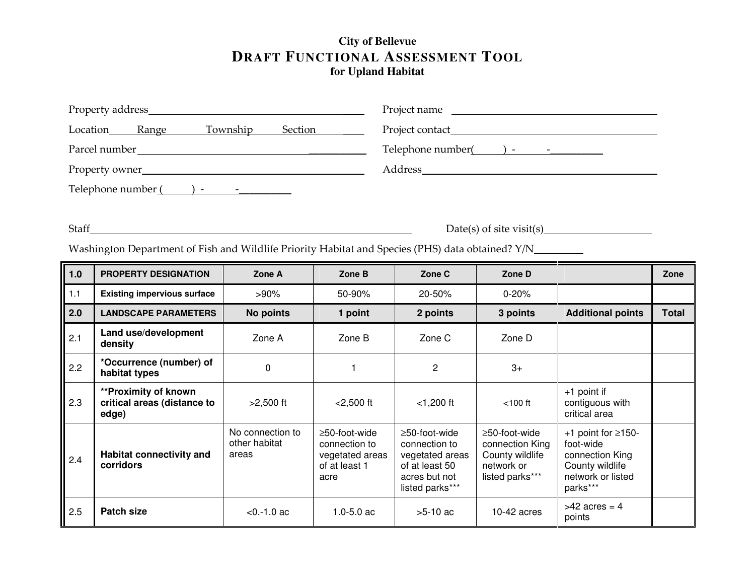#### **City of Bellevue DRAFT FUNCTIONAL ASSESSMENT TOOLfor Upland Habitat**

| Property address_                                                               | Project name<br><u> 1980 - Jan Sammer, amerikansk politiker (</u>                                                                                                                                                                                                                                                                                            |  |  |  |  |
|---------------------------------------------------------------------------------|--------------------------------------------------------------------------------------------------------------------------------------------------------------------------------------------------------------------------------------------------------------------------------------------------------------------------------------------------------------|--|--|--|--|
| <b>Township</b><br>Location<br>Section<br><b>Range</b>                          |                                                                                                                                                                                                                                                                                                                                                              |  |  |  |  |
| Parcel number                                                                   | Telephone number<br>$\left( \begin{array}{ccc} 0 & -1 & 0 \\ 0 & 0 & 0 \\ 0 & 0 & 0 \\ 0 & 0 & 0 \\ 0 & 0 & 0 \\ 0 & 0 & 0 \\ 0 & 0 & 0 \\ 0 & 0 & 0 \\ 0 & 0 & 0 \\ 0 & 0 & 0 \\ 0 & 0 & 0 \\ 0 & 0 & 0 \\ 0 & 0 & 0 \\ 0 & 0 & 0 & 0 \\ 0 & 0 & 0 & 0 \\ 0 & 0 & 0 & 0 \\ 0 & 0 & 0 & 0 \\ 0 & 0 & 0 & 0 & 0 \\ 0 & 0 & 0 & 0 & 0 \\ 0 & 0 & 0 & 0 & 0 \\$ |  |  |  |  |
| Property owner                                                                  | <b>Address</b>                                                                                                                                                                                                                                                                                                                                               |  |  |  |  |
| Telephone number (<br>$\mathbf{I}$ and $\mathbf{I}$ are the set of $\mathbf{I}$ |                                                                                                                                                                                                                                                                                                                                                              |  |  |  |  |

Staff Date(s) of site visit(s)

Washington Department of Fish and Wildlife Priority Habitat and Species (PHS) data obtained? Y/N\_\_\_\_\_\_\_\_\_\_

| $1.0$ | <b>PROPERTY DESIGNATION</b>                                         | Zone A                                     | Zone B                                                                           | Zone C                                                                                                        | Zone D                                                                               |                                                                                                              | Zone         |
|-------|---------------------------------------------------------------------|--------------------------------------------|----------------------------------------------------------------------------------|---------------------------------------------------------------------------------------------------------------|--------------------------------------------------------------------------------------|--------------------------------------------------------------------------------------------------------------|--------------|
| 1.1   | <b>Existing impervious surface</b>                                  | $>90\%$                                    | 50-90%                                                                           | 20-50%                                                                                                        | $0 - 20%$                                                                            |                                                                                                              |              |
| 2.0   | <b>LANDSCAPE PARAMETERS</b>                                         | No points                                  | 1 point                                                                          | 2 points                                                                                                      | 3 points                                                                             | <b>Additional points</b>                                                                                     | <b>Total</b> |
| 2.1   | Land use/development<br>density                                     | Zone A                                     | Zone B                                                                           | Zone C                                                                                                        | Zone D                                                                               |                                                                                                              |              |
| 2.2   | *Occurrence (number) of<br>habitat types                            | 0                                          |                                                                                  | $\overline{c}$                                                                                                | $3+$                                                                                 |                                                                                                              |              |
| 2.3   | <b>**Proximity of known</b><br>critical areas (distance to<br>edge) | $>2,500$ ft                                | $<$ 2,500 ft                                                                     | $<$ 1,200 ft                                                                                                  | $<$ 100 $ft$                                                                         | $+1$ point if<br>contiguous with<br>critical area                                                            |              |
| 2.4   | Habitat connectivity and<br>corridors                               | No connection to<br>other habitat<br>areas | $\geq$ 50-foot-wide<br>connection to<br>vegetated areas<br>of at least 1<br>acre | $\geq$ 50-foot-wide<br>connection to<br>vegetated areas<br>of at least 50<br>acres but not<br>listed parks*** | ≥50-foot-wide<br>connection King<br>County wildlife<br>network or<br>listed parks*** | +1 point for $\geq$ 150-<br>foot-wide<br>connection King<br>County wildlife<br>network or listed<br>parks*** |              |
| 2.5   | <b>Patch size</b>                                                   | $< 0. -1.0$ ac                             | $1.0 - 5.0$ ac                                                                   | $>5-10$ ac                                                                                                    | $10-42$ acres                                                                        | $>42$ acres = 4<br>points                                                                                    |              |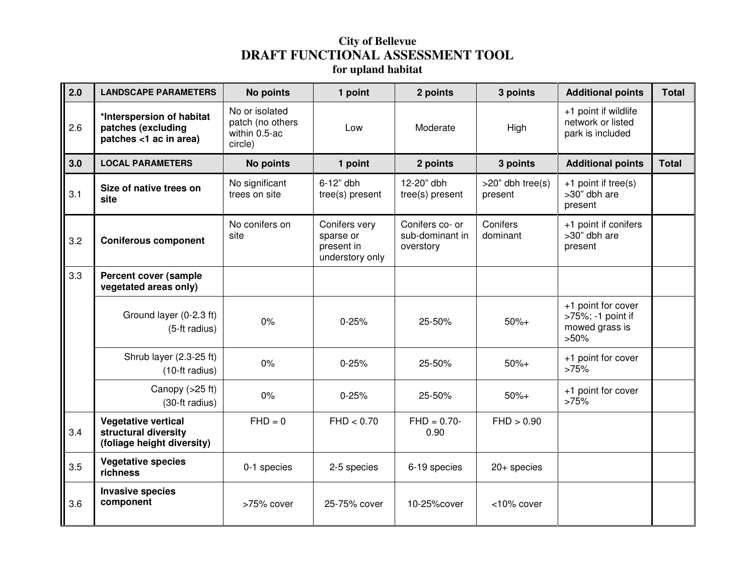### **City of Bellevue DRAFT FUNCTIONAL ASSESSMENT TOOL for upland habitat**

| 2.0 | <b>LANDSCAPE PARAMETERS</b>                                                      | <b>No points</b>                                               | 1 point                                                     | 2 points                                        | 3 points                          | <b>Additional points</b>                                             | <b>Total</b> |
|-----|----------------------------------------------------------------------------------|----------------------------------------------------------------|-------------------------------------------------------------|-------------------------------------------------|-----------------------------------|----------------------------------------------------------------------|--------------|
| 2.6 | *Interspersion of habitat<br>patches (excluding<br>patches <1 ac in area)        | No or isolated<br>patch (no others<br>within 0.5-ac<br>circle) | Low                                                         | Moderate                                        | High                              | +1 point if wildlife<br>network or listed<br>park is included        |              |
| 3.0 | <b>LOCAL PARAMETERS</b>                                                          | <b>No points</b>                                               | 1 point                                                     | 2 points                                        | 3 points                          | <b>Additional points</b>                                             | <b>Total</b> |
| 3.1 | Size of native trees on<br>site                                                  | No significant<br>trees on site                                | 6-12" dbh<br>tree(s) present                                | 12-20" dbh<br>tree(s) present                   | $>20$ " dbh tree $(s)$<br>present | +1 point if tree(s)<br>>30" dbh are<br>present                       |              |
| 3.2 | <b>Coniferous component</b>                                                      | No conifers on<br>site                                         | Conifers very<br>sparse or<br>present in<br>understory only | Conifers co- or<br>sub-dominant in<br>overstory | Conifers<br>dominant              | +1 point if conifers<br>>30" dbh are<br>present                      |              |
| 3.3 | <b>Percent cover (sample</b><br>vegetated areas only)                            |                                                                |                                                             |                                                 |                                   |                                                                      |              |
|     | Ground layer (0-2.3 ft)<br>(5-ft radius)                                         | 0%                                                             | $0 - 25%$                                                   | 25-50%                                          | $50%+$                            | +1 point for cover<br>>75%; -1 point if<br>mowed grass is<br>$>50\%$ |              |
|     | Shrub layer (2.3-25 ft)<br>(10-ft radius)                                        | $0\%$                                                          | $0 - 25%$                                                   | 25-50%                                          | $50%+$                            | +1 point for cover<br>>75%                                           |              |
|     | Canopy $(>25$ ft)<br>(30-ft radius)                                              | 0%                                                             | $0 - 25%$                                                   | 25-50%                                          | $50%+$                            | +1 point for cover<br>>75%                                           |              |
| 3.4 | <b>Vegetative vertical</b><br>structural diversity<br>(foliage height diversity) | $FHD = 0$                                                      | FHD < 0.70                                                  | $FHD = 0.70 -$<br>0.90                          | FHD > 0.90                        |                                                                      |              |
| 3.5 | <b>Vegetative species</b><br>richness                                            | 0-1 species                                                    | 2-5 species                                                 | 6-19 species                                    | $20+$ species                     |                                                                      |              |
| 3.6 | <b>Invasive species</b><br>component                                             | >75% cover                                                     | 25-75% cover                                                | 10-25% cover                                    | <10% cover                        |                                                                      |              |